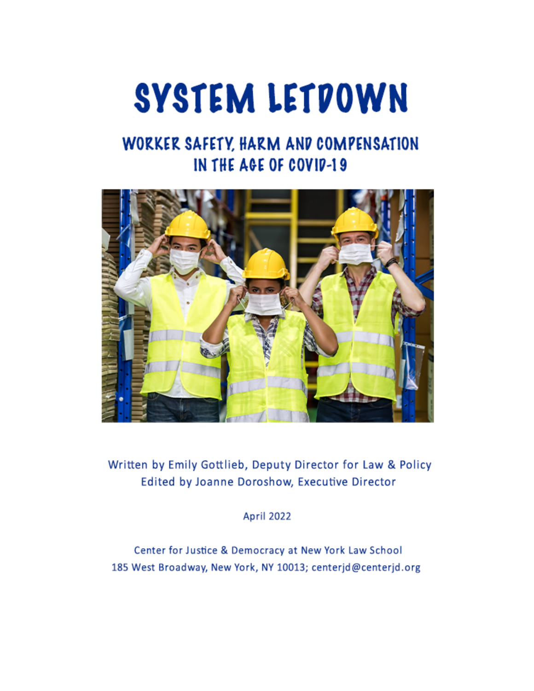# SYSTEM LETDOWN

# WORKER SAFETY, HARM AND COMPENSATION IN THE AGE OF COVID-19



Written by Emily Gottlieb, Deputy Director for Law & Policy Edited by Joanne Doroshow, Executive Director

**April 2022** 

Center for Justice & Democracy at New York Law School 185 West Broadway, New York, NY 10013; centerjd@centerjd.org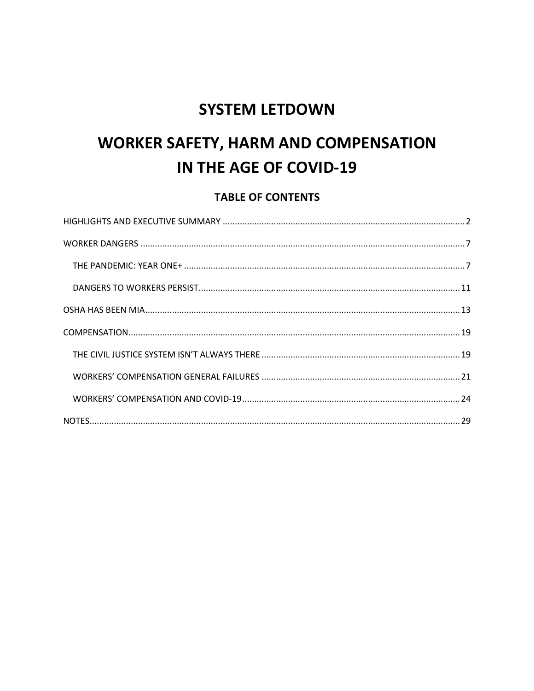# **SYSTEM LETDOWN**

# **WORKER SAFETY, HARM AND COMPENSATION** IN THE AGE OF COVID-19

## **TABLE OF CONTENTS**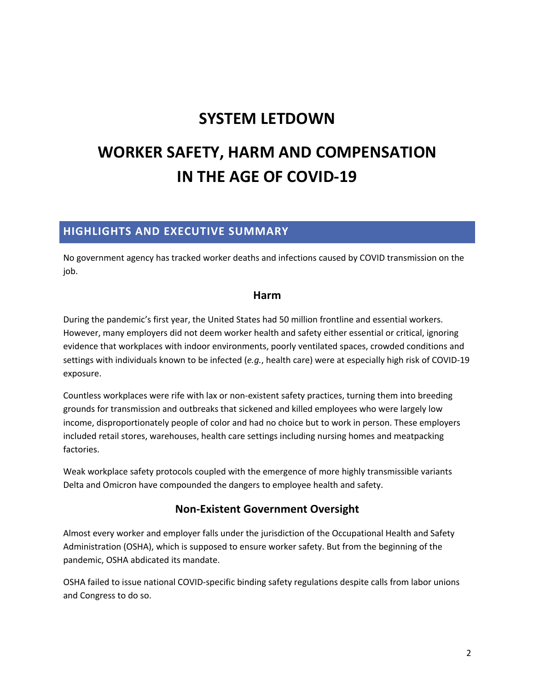# **SYSTEM LETDOWN**

# **WORKER SAFETY, HARM AND COMPENSATION IN THE AGE OF COVID-19**

## **HIGHLIGHTS AND EXECUTIVE SUMMARY**

No government agency has tracked worker deaths and infections caused by COVID transmission on the job.

#### **Harm**

During the pandemic's first year, the United States had 50 million frontline and essential workers. However, many employers did not deem worker health and safety either essential or critical, ignoring evidence that workplaces with indoor environments, poorly ventilated spaces, crowded conditions and settings with individuals known to be infected (*e.g.*, health care) were at especially high risk of COVID-19 exposure.

Countless workplaces were rife with lax or non-existent safety practices, turning them into breeding grounds for transmission and outbreaks that sickened and killed employees who were largely low income, disproportionately people of color and had no choice but to work in person. These employers included retail stores, warehouses, health care settings including nursing homes and meatpacking factories.

Weak workplace safety protocols coupled with the emergence of more highly transmissible variants Delta and Omicron have compounded the dangers to employee health and safety.

## **Non-Existent Government Oversight**

Almost every worker and employer falls under the jurisdiction of the Occupational Health and Safety Administration (OSHA), which is supposed to ensure worker safety. But from the beginning of the pandemic, OSHA abdicated its mandate.

OSHA failed to issue national COVID-specific binding safety regulations despite calls from labor unions and Congress to do so.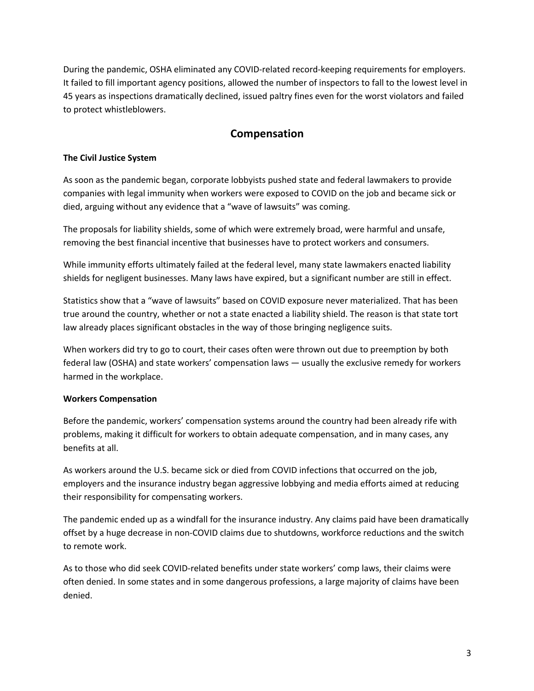During the pandemic, OSHA eliminated any COVID-related record-keeping requirements for employers. It failed to fill important agency positions, allowed the number of inspectors to fall to the lowest level in 45 years as inspections dramatically declined, issued paltry fines even for the worst violators and failed to protect whistleblowers.

#### **Compensation**

#### **The Civil Justice System**

As soon as the pandemic began, corporate lobbyists pushed state and federal lawmakers to provide companies with legal immunity when workers were exposed to COVID on the job and became sick or died, arguing without any evidence that a "wave of lawsuits" was coming.

The proposals for liability shields, some of which were extremely broad, were harmful and unsafe, removing the best financial incentive that businesses have to protect workers and consumers.

While immunity efforts ultimately failed at the federal level, many state lawmakers enacted liability shields for negligent businesses. Many laws have expired, but a significant number are still in effect.

Statistics show that a "wave of lawsuits" based on COVID exposure never materialized. That has been true around the country, whether or not a state enacted a liability shield. The reason is that state tort law already places significant obstacles in the way of those bringing negligence suits.

When workers did try to go to court, their cases often were thrown out due to preemption by both federal law (OSHA) and state workers' compensation laws — usually the exclusive remedy for workers harmed in the workplace.

#### **Workers Compensation**

Before the pandemic, workers' compensation systems around the country had been already rife with problems, making it difficult for workers to obtain adequate compensation, and in many cases, any benefits at all.

As workers around the U.S. became sick or died from COVID infections that occurred on the job, employers and the insurance industry began aggressive lobbying and media efforts aimed at reducing their responsibility for compensating workers.

The pandemic ended up as a windfall for the insurance industry. Any claims paid have been dramatically offset by a huge decrease in non-COVID claims due to shutdowns, workforce reductions and the switch to remote work.

As to those who did seek COVID-related benefits under state workers' comp laws, their claims were often denied. In some states and in some dangerous professions, a large majority of claims have been denied.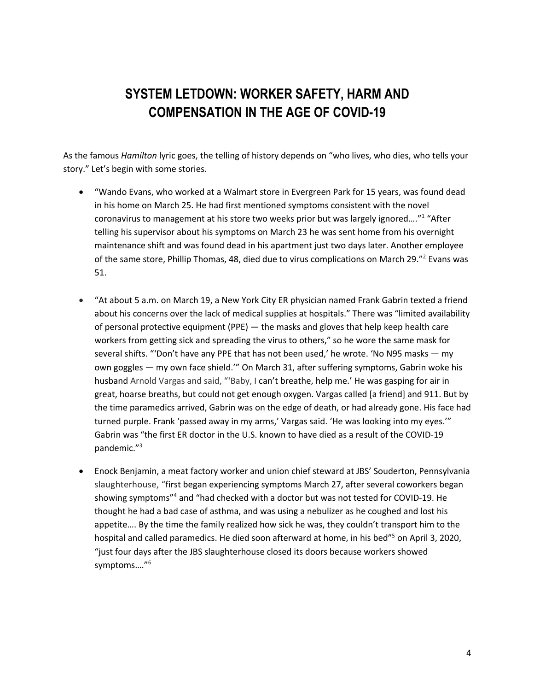# **SYSTEM LETDOWN: WORKER SAFETY, HARM AND COMPENSATION IN THE AGE OF COVID-19**

As the famous *Hamilton* lyric goes, the telling of history depends on "who lives, who dies, who tells your story." Let's begin with some stories.

- "Wando Evans, who worked at a Walmart store in Evergreen Park for 15 years, was found dead in his home on March 25. He had first mentioned symptoms consistent with the novel coronavirus to management at his store two weeks prior but was largely ignored…."1 "After telling his supervisor about his symptoms on March 23 he was sent home from his overnight maintenance shift and was found dead in his apartment just two days later. Another employee of the same store, Phillip Thomas, 48, died due to virus complications on March 29."<sup>2</sup> Evans was 51.
- "At about 5 a.m. on March 19, a New York City ER physician named Frank Gabrin texted a friend about his concerns over the lack of medical supplies at hospitals." There was "limited availability of personal protective equipment (PPE) — the masks and gloves that help keep health care workers from getting sick and spreading the virus to others," so he wore the same mask for several shifts. "'Don't have any PPE that has not been used,' he wrote. 'No N95 masks — my own goggles — my own face shield.'" On March 31, after suffering symptoms, Gabrin woke his husband Arnold Vargas and said, "'Baby, I can't breathe, help me.' He was gasping for air in great, hoarse breaths, but could not get enough oxygen. Vargas called [a friend] and 911. But by the time paramedics arrived, Gabrin was on the edge of death, or had already gone. His face had turned purple. Frank 'passed away in my arms,' Vargas said. 'He was looking into my eyes.'" Gabrin was "the first ER doctor in the U.S. known to have died as a result of the COVID-19 pandemic."3
- Enock Benjamin, a meat factory worker and union chief steward at JBS' Souderton, Pennsylvania slaughterhouse, "first began experiencing symptoms March 27, after several coworkers began showing symptoms"4 and "had checked with a doctor but was not tested for COVID-19. He thought he had a bad case of asthma, and was using a nebulizer as he coughed and lost his appetite…. By the time the family realized how sick he was, they couldn't transport him to the hospital and called paramedics. He died soon afterward at home, in his bed<sup>75</sup> on April 3, 2020, "just four days after the JBS slaughterhouse closed its doors because workers showed symptoms…."6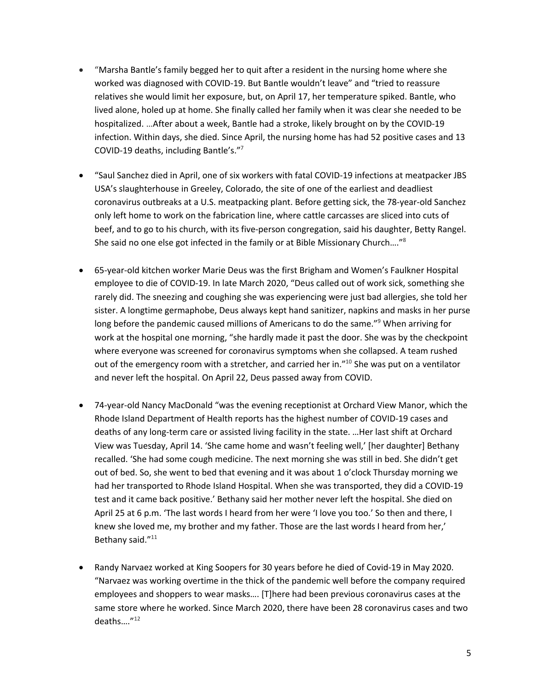- "Marsha Bantle's family begged her to quit after a resident in the nursing home where she worked was diagnosed with COVID-19. But Bantle wouldn't leave" and "tried to reassure relatives she would limit her exposure, but, on April 17, her temperature spiked. Bantle, who lived alone, holed up at home. She finally called her family when it was clear she needed to be hospitalized. …After about a week, Bantle had a stroke, likely brought on by the COVID-19 infection. Within days, she died. Since April, the nursing home has had 52 positive cases and 13 COVID-19 deaths, including Bantle's."7
- "Saul Sanchez died in April, one of six workers with fatal COVID-19 infections at meatpacker JBS USA's slaughterhouse in Greeley, Colorado, the site of one of the earliest and deadliest coronavirus outbreaks at a U.S. meatpacking plant. Before getting sick, the 78-year-old Sanchez only left home to work on the fabrication line, where cattle carcasses are sliced into cuts of beef, and to go to his church, with its five-person congregation, said his daughter, Betty Rangel. She said no one else got infected in the family or at Bible Missionary Church…."8
- 65-year-old kitchen worker Marie Deus was the first Brigham and Women's Faulkner Hospital employee to die of COVID-19. In late March 2020, "Deus called out of work sick, something she rarely did. The sneezing and coughing she was experiencing were just bad allergies, she told her sister. A longtime germaphobe, Deus always kept hand sanitizer, napkins and masks in her purse long before the pandemic caused millions of Americans to do the same."<sup>9</sup> When arriving for work at the hospital one morning, "she hardly made it past the door. She was by the checkpoint where everyone was screened for coronavirus symptoms when she collapsed. A team rushed out of the emergency room with a stretcher, and carried her in.<sup>"10</sup> She was put on a ventilator and never left the hospital. On April 22, Deus passed away from COVID.
- 74-year-old Nancy MacDonald "was the evening receptionist at Orchard View Manor, which the Rhode Island Department of Health reports has the highest number of COVID-19 cases and deaths of any long-term care or assisted living facility in the state. …Her last shift at Orchard View was Tuesday, April 14. 'She came home and wasn't feeling well,' [her daughter] Bethany recalled. 'She had some cough medicine. The next morning she was still in bed. She didn't get out of bed. So, she went to bed that evening and it was about 1 o'clock Thursday morning we had her transported to Rhode Island Hospital. When she was transported, they did a COVID-19 test and it came back positive.' Bethany said her mother never left the hospital. She died on April 25 at 6 p.m. 'The last words I heard from her were 'I love you too.' So then and there, I knew she loved me, my brother and my father. Those are the last words I heard from her,' Bethany said."11
- Randy Narvaez worked at King Soopers for 30 years before he died of Covid-19 in May 2020. "Narvaez was working overtime in the thick of the pandemic well before the company required employees and shoppers to wear masks…. [T]here had been previous coronavirus cases at the same store where he worked. Since March 2020, there have been 28 coronavirus cases and two deaths…."12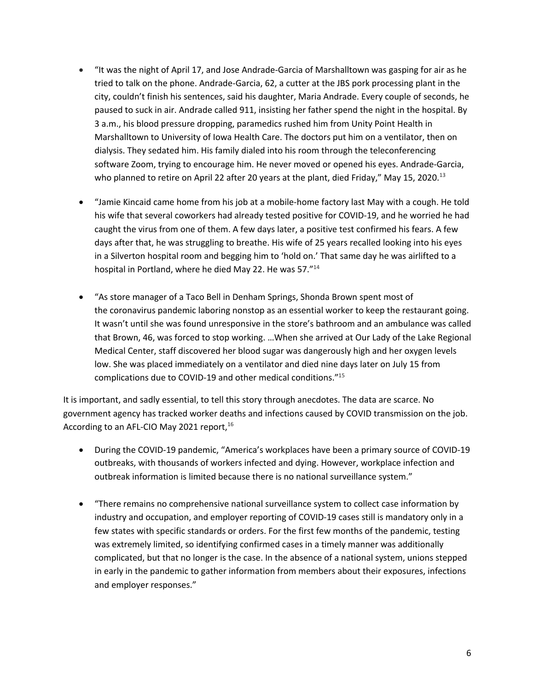- "It was the night of April 17, and Jose Andrade-Garcia of Marshalltown was gasping for air as he tried to talk on the phone. Andrade-Garcia, 62, a cutter at the JBS pork processing plant in the city, couldn't finish his sentences, said his daughter, Maria Andrade. Every couple of seconds, he paused to suck in air. Andrade called 911, insisting her father spend the night in the hospital. By 3 a.m., his blood pressure dropping, paramedics rushed him from Unity Point Health in Marshalltown to University of Iowa Health Care. The doctors put him on a ventilator, then on dialysis. They sedated him. His family dialed into his room through the teleconferencing software Zoom, trying to encourage him. He never moved or opened his eyes. Andrade-Garcia, who planned to retire on April 22 after 20 years at the plant, died Friday," May 15, 2020.<sup>13</sup>
- "Jamie Kincaid came home from his job at a mobile-home factory last May with a cough. He told his wife that several coworkers had already tested positive for COVID-19, and he worried he had caught the virus from one of them. A few days later, a positive test confirmed his fears. A few days after that, he was struggling to breathe. His wife of 25 years recalled looking into his eyes in a Silverton hospital room and begging him to 'hold on.' That same day he was airlifted to a hospital in Portland, where he died May 22. He was 57."14
- "As store manager of a Taco Bell in Denham Springs, Shonda Brown spent most of the coronavirus pandemic laboring nonstop as an essential worker to keep the restaurant going. It wasn't until she was found unresponsive in the store's bathroom and an ambulance was called that Brown, 46, was forced to stop working. …When she arrived at Our Lady of the Lake Regional Medical Center, staff discovered her blood sugar was dangerously high and her oxygen levels low. She was placed immediately on a ventilator and died nine days later on July 15 from complications due to COVID-19 and other medical conditions."15

It is important, and sadly essential, to tell this story through anecdotes. The data are scarce. No government agency has tracked worker deaths and infections caused by COVID transmission on the job. According to an AFL-CIO May 2021 report,<sup>16</sup>

- During the COVID-19 pandemic, "America's workplaces have been a primary source of COVID-19 outbreaks, with thousands of workers infected and dying. However, workplace infection and outbreak information is limited because there is no national surveillance system."
- "There remains no comprehensive national surveillance system to collect case information by industry and occupation, and employer reporting of COVID-19 cases still is mandatory only in a few states with specific standards or orders. For the first few months of the pandemic, testing was extremely limited, so identifying confirmed cases in a timely manner was additionally complicated, but that no longer is the case. In the absence of a national system, unions stepped in early in the pandemic to gather information from members about their exposures, infections and employer responses."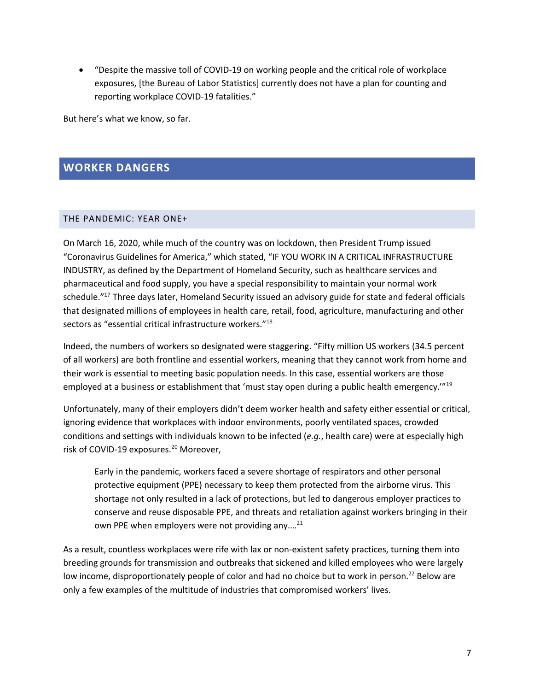• "Despite the massive toll of COVID-19 on working people and the critical role of workplace exposures, [the Bureau of Labor Statistics] currently does not have a plan for counting and reporting workplace COVID-19 fatalities."

But here's what we know, so far.

#### **WORKER DANGERS**

#### THE PANDEMIC: YEAR ONE+

On March 16, 2020, while much of the country was on lockdown, then President Trump issued "Coronavirus Guidelines for America," which stated, "IF YOU WORK IN A CRITICAL INFRASTRUCTURE INDUSTRY, as defined by the Department of Homeland Security, such as healthcare services and pharmaceutical and food supply, you have a special responsibility to maintain your normal work schedule."<sup>17</sup> Three days later, Homeland Security issued an advisory guide for state and federal officials that designated millions of employees in health care, retail, food, agriculture, manufacturing and other sectors as "essential critical infrastructure workers."18

Indeed, the numbers of workers so designated were staggering. "Fifty million US workers (34.5 percent of all workers) are both frontline and essential workers, meaning that they cannot work from home and their work is essential to meeting basic population needs. In this case, essential workers are those employed at a business or establishment that 'must stay open during a public health emergency."<sup>19</sup>

Unfortunately, many of their employers didn't deem worker health and safety either essential or critical, ignoring evidence that workplaces with indoor environments, poorly ventilated spaces, crowded conditions and settings with individuals known to be infected (*e.g.*, health care) were at especially high risk of COVID-19 exposures. <sup>20</sup> Moreover,

Early in the pandemic, workers faced a severe shortage of respirators and other personal protective equipment (PPE) necessary to keep them protected from the airborne virus. This shortage not only resulted in a lack of protections, but led to dangerous employer practices to conserve and reuse disposable PPE, and threats and retaliation against workers bringing in their own PPE when employers were not providing any....<sup>21</sup>

As a result, countless workplaces were rife with lax or non-existent safety practices, turning them into breeding grounds for transmission and outbreaks that sickened and killed employees who were largely low income, disproportionately people of color and had no choice but to work in person.<sup>22</sup> Below are only a few examples of the multitude of industries that compromised workers' lives.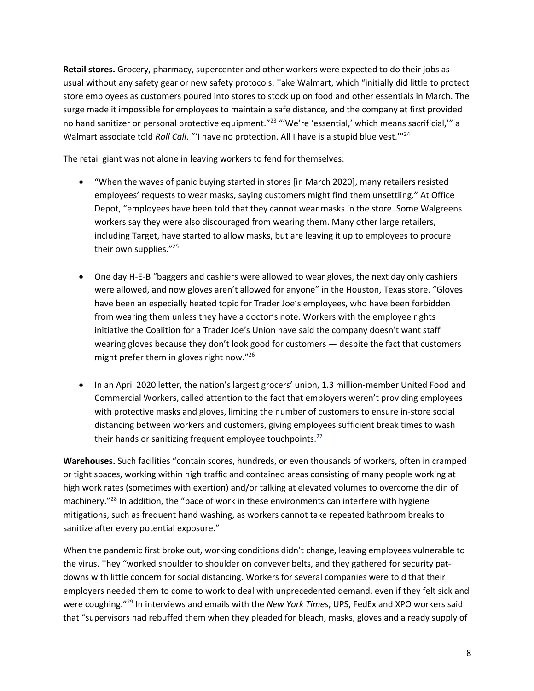**Retail stores.** Grocery, pharmacy, supercenter and other workers were expected to do their jobs as usual without any safety gear or new safety protocols. Take Walmart, which "initially did little to protect store employees as customers poured into stores to stock up on food and other essentials in March. The surge made it impossible for employees to maintain a safe distance, and the company at first provided no hand sanitizer or personal protective equipment."<sup>23</sup> "'We're 'essential,' which means sacrificial," a Walmart associate told *Roll Call*. "'I have no protection. All I have is a stupid blue vest."<sup>24</sup>

The retail giant was not alone in leaving workers to fend for themselves:

- "When the waves of panic buying started in stores [in March 2020], many retailers resisted employees' requests to wear masks, saying customers might find them unsettling." At Office Depot, "employees have been told that they cannot wear masks in the store. Some Walgreens workers say they were also discouraged from wearing them. Many other large retailers, including Target, have started to allow masks, but are leaving it up to employees to procure their own supplies."<sup>25</sup>
- One day H-E-B "baggers and cashiers were allowed to wear gloves, the next day only cashiers were allowed, and now gloves aren't allowed for anyone" in the Houston, Texas store. "Gloves have been an especially heated topic for Trader Joe's employees, who have been forbidden from wearing them unless they have a doctor's note. Workers with the employee rights initiative the Coalition for a Trader Joe's Union have said the company doesn't want staff wearing gloves because they don't look good for customers — despite the fact that customers might prefer them in gloves right now."26
- In an April 2020 letter, the nation's largest grocers' union, 1.3 million-member United Food and Commercial Workers, called attention to the fact that employers weren't providing employees with protective masks and gloves, limiting the number of customers to ensure in-store social distancing between workers and customers, giving employees sufficient break times to wash their hands or sanitizing frequent employee touchpoints.<sup>27</sup>

**Warehouses.** Such facilities "contain scores, hundreds, or even thousands of workers, often in cramped or tight spaces, working within high traffic and contained areas consisting of many people working at high work rates (sometimes with exertion) and/or talking at elevated volumes to overcome the din of machinery.<sup>"28</sup> In addition, the "pace of work in these environments can interfere with hygiene mitigations, such as frequent hand washing, as workers cannot take repeated bathroom breaks to sanitize after every potential exposure."

When the pandemic first broke out, working conditions didn't change, leaving employees vulnerable to the virus. They "worked shoulder to shoulder on conveyer belts, and they gathered for security patdowns with little concern for social distancing. Workers for several companies were told that their employers needed them to come to work to deal with unprecedented demand, even if they felt sick and were coughing."29 In interviews and emails with the *New York Times*, UPS, FedEx and XPO workers said that "supervisors had rebuffed them when they pleaded for bleach, masks, gloves and a ready supply of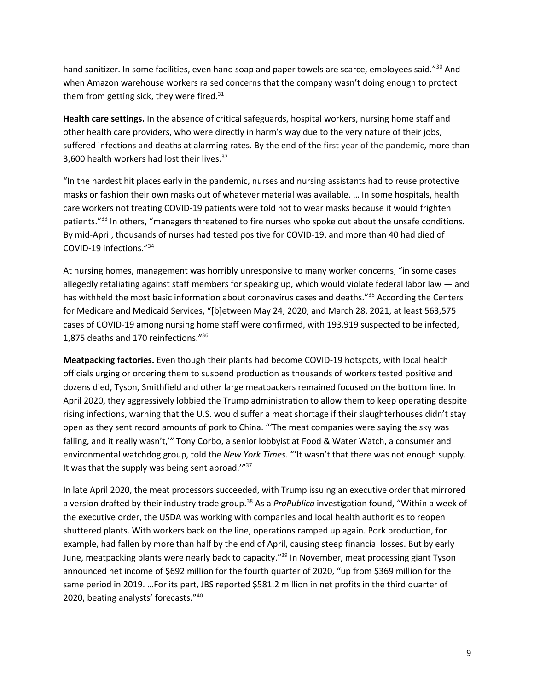hand sanitizer. In some facilities, even hand soap and paper towels are scarce, employees said."<sup>30</sup> And when Amazon warehouse workers raised concerns that the company wasn't doing enough to protect them from getting sick, they were fired. $31$ 

**Health care settings.** In the absence of critical safeguards, hospital workers, nursing home staff and other health care providers, who were directly in harm's way due to the very nature of their jobs, suffered infections and deaths at alarming rates. By the end of the first year of the pandemic, more than 3,600 health workers had lost their lives.<sup>32</sup>

"In the hardest hit places early in the pandemic, nurses and nursing assistants had to reuse protective masks or fashion their own masks out of whatever material was available. … In some hospitals, health care workers not treating COVID-19 patients were told not to wear masks because it would frighten patients."<sup>33</sup> In others, "managers threatened to fire nurses who spoke out about the unsafe conditions. By mid-April, thousands of nurses had tested positive for COVID-19, and more than 40 had died of COVID-19 infections."34

At nursing homes, management was horribly unresponsive to many worker concerns, "in some cases allegedly retaliating against staff members for speaking up, which would violate federal labor law — and has withheld the most basic information about coronavirus cases and deaths."<sup>35</sup> According the Centers for Medicare and Medicaid Services, "[b]etween May 24, 2020, and March 28, 2021, at least 563,575 cases of COVID-19 among nursing home staff were confirmed, with 193,919 suspected to be infected, 1,875 deaths and 170 reinfections."36

**Meatpacking factories.** Even though their plants had become COVID-19 hotspots, with local health officials urging or ordering them to suspend production as thousands of workers tested positive and dozens died, Tyson, Smithfield and other large meatpackers remained focused on the bottom line. In April 2020, they aggressively lobbied the Trump administration to allow them to keep operating despite rising infections, warning that the U.S. would suffer a meat shortage if their slaughterhouses didn't stay open as they sent record amounts of pork to China. "'The meat companies were saying the sky was falling, and it really wasn't,'" Tony Corbo, a senior lobbyist at Food & Water Watch, a consumer and environmental watchdog group, told the *New York Times*. "'It wasn't that there was not enough supply. It was that the supply was being sent abroad."37

In late April 2020, the meat processors succeeded, with Trump issuing an executive order that mirrored a version drafted by their industry trade group.38 As a *ProPublica* investigation found, "Within a week of the executive order, the USDA was working with companies and local health authorities to reopen shuttered plants. With workers back on the line, operations ramped up again. Pork production, for example, had fallen by more than half by the end of April, causing steep financial losses. But by early June, meatpacking plants were nearly back to capacity."<sup>39</sup> In November, meat processing giant Tyson announced net income of \$692 million for the fourth quarter of 2020, "up from \$369 million for the same period in 2019. …For its part, JBS reported \$581.2 million in net profits in the third quarter of 2020, beating analysts' forecasts."40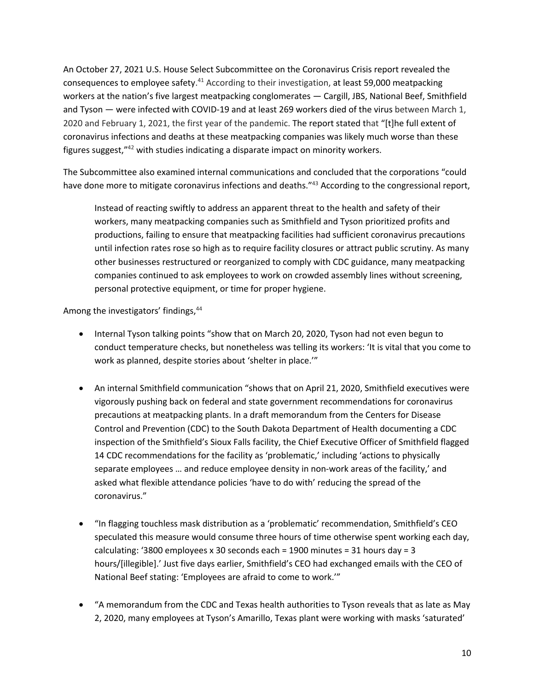An October 27, 2021 U.S. House Select Subcommittee on the Coronavirus Crisis report revealed the consequences to employee safety. $41$  According to their investigation, at least 59,000 meatpacking workers at the nation's five largest meatpacking conglomerates — Cargill, JBS, National Beef, Smithfield and Tyson — were infected with COVID-19 and at least 269 workers died of the virus between March 1, 2020 and February 1, 2021, the first year of the pandemic. The report stated that "[t]he full extent of coronavirus infections and deaths at these meatpacking companies was likely much worse than these figures suggest,"42 with studies indicating a disparate impact on minority workers.

The Subcommittee also examined internal communications and concluded that the corporations "could have done more to mitigate coronavirus infections and deaths."<sup>43</sup> According to the congressional report,

Instead of reacting swiftly to address an apparent threat to the health and safety of their workers, many meatpacking companies such as Smithfield and Tyson prioritized profits and productions, failing to ensure that meatpacking facilities had sufficient coronavirus precautions until infection rates rose so high as to require facility closures or attract public scrutiny. As many other businesses restructured or reorganized to comply with CDC guidance, many meatpacking companies continued to ask employees to work on crowded assembly lines without screening, personal protective equipment, or time for proper hygiene.

Among the investigators' findings, <sup>44</sup>

- Internal Tyson talking points "show that on March 20, 2020, Tyson had not even begun to conduct temperature checks, but nonetheless was telling its workers: 'It is vital that you come to work as planned, despite stories about 'shelter in place.'"
- An internal Smithfield communication "shows that on April 21, 2020, Smithfield executives were vigorously pushing back on federal and state government recommendations for coronavirus precautions at meatpacking plants. In a draft memorandum from the Centers for Disease Control and Prevention (CDC) to the South Dakota Department of Health documenting a CDC inspection of the Smithfield's Sioux Falls facility, the Chief Executive Officer of Smithfield flagged 14 CDC recommendations for the facility as 'problematic,' including 'actions to physically separate employees … and reduce employee density in non-work areas of the facility,' and asked what flexible attendance policies 'have to do with' reducing the spread of the coronavirus."
- "In flagging touchless mask distribution as a 'problematic' recommendation, Smithfield's CEO speculated this measure would consume three hours of time otherwise spent working each day, calculating: '3800 employees x 30 seconds each = 1900 minutes = 31 hours day = 3 hours/[illegible].' Just five days earlier, Smithfield's CEO had exchanged emails with the CEO of National Beef stating: 'Employees are afraid to come to work.'"
- "A memorandum from the CDC and Texas health authorities to Tyson reveals that as late as May 2, 2020, many employees at Tyson's Amarillo, Texas plant were working with masks 'saturated'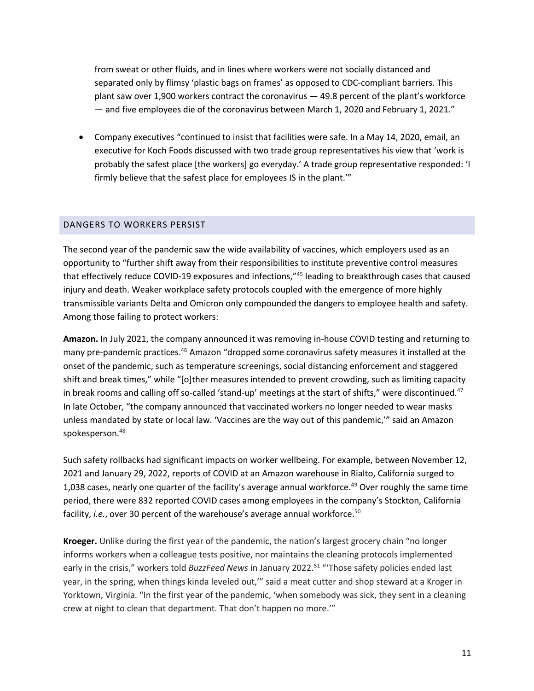from sweat or other fluids, and in lines where workers were not socially distanced and separated only by flimsy 'plastic bags on frames' as opposed to CDC-compliant barriers. This plant saw over 1,900 workers contract the coronavirus — 49.8 percent of the plant's workforce — and five employees die of the coronavirus between March 1, 2020 and February 1, 2021."

• Company executives "continued to insist that facilities were safe. In a May 14, 2020, email, an executive for Koch Foods discussed with two trade group representatives his view that 'work is probably the safest place [the workers] go everyday.' A trade group representative responded: 'I firmly believe that the safest place for employees IS in the plant.'"

#### DANGERS TO WORKERS PERSIST

The second year of the pandemic saw the wide availability of vaccines, which employers used as an opportunity to "further shift away from their responsibilities to institute preventive control measures that effectively reduce COVID-19 exposures and infections,"45 leading to breakthrough cases that caused injury and death. Weaker workplace safety protocols coupled with the emergence of more highly transmissible variants Delta and Omicron only compounded the dangers to employee health and safety. Among those failing to protect workers:

**Amazon.** In July 2021, the company announced it was removing in-house COVID testing and returning to many pre-pandemic practices.46 Amazon "dropped some coronavirus safety measures it installed at the onset of the pandemic, such as temperature screenings, social distancing enforcement and staggered shift and break times," while "[o]ther measures intended to prevent crowding, such as limiting capacity in break rooms and calling off so-called 'stand-up' meetings at the start of shifts," were discontinued.<sup>47</sup> In late October, "the company announced that vaccinated workers no longer needed to wear masks unless mandated by state or local law. 'Vaccines are the way out of this pandemic,'" said an Amazon spokesperson.<sup>48</sup>

Such safety rollbacks had significant impacts on worker wellbeing. For example, between November 12, 2021 and January 29, 2022, reports of COVID at an Amazon warehouse in Rialto, California surged to 1,038 cases, nearly one quarter of the facility's average annual workforce.<sup>49</sup> Over roughly the same time period, there were 832 reported COVID cases among employees in the company's Stockton, California facility, *i.e.*, over 30 percent of the warehouse's average annual workforce.<sup>50</sup>

**Kroeger.** Unlike during the first year of the pandemic, the nation's largest grocery chain "no longer informs workers when a colleague tests positive, nor maintains the cleaning protocols implemented early in the crisis," workers told *BuzzFeed News* in January 2022.51 "'Those safety policies ended last year, in the spring, when things kinda leveled out,'" said a meat cutter and shop steward at a Kroger in Yorktown, Virginia. "In the first year of the pandemic, 'when somebody was sick, they sent in a cleaning crew at night to clean that department. That don't happen no more.'"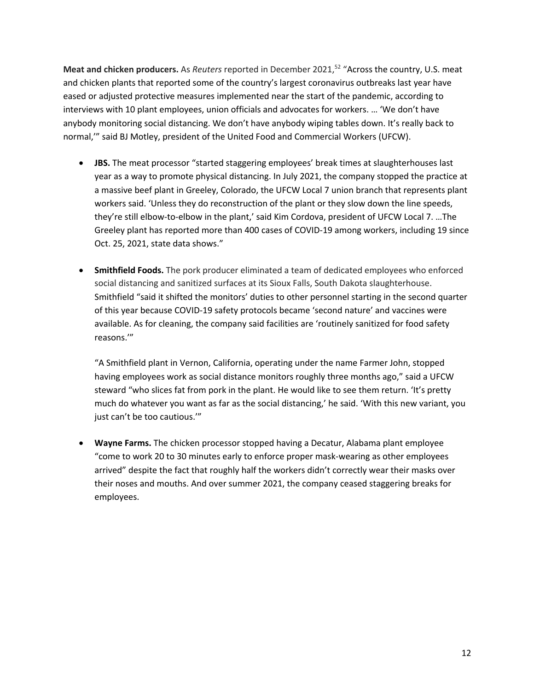**Meat and chicken producers.** As *Reuters* reported in December 2021,<sup>52</sup> "Across the country, U.S. meat and chicken plants that reported some of the country's largest coronavirus outbreaks last year have eased or adjusted protective measures implemented near the start of the pandemic, according to interviews with 10 plant employees, union officials and advocates for workers. … 'We don't have anybody monitoring social distancing. We don't have anybody wiping tables down. It's really back to normal,'" said BJ Motley, president of the United Food and Commercial Workers (UFCW).

- **JBS.** The meat processor "started staggering employees' break times at slaughterhouses last year as a way to promote physical distancing. In July 2021, the company stopped the practice at a massive beef plant in Greeley, Colorado, the UFCW Local 7 union branch that represents plant workers said. 'Unless they do reconstruction of the plant or they slow down the line speeds, they're still elbow-to-elbow in the plant,' said Kim Cordova, president of UFCW Local 7. …The Greeley plant has reported more than 400 cases of COVID-19 among workers, including 19 since Oct. 25, 2021, state data shows."
- **Smithfield Foods.** The pork producer eliminated a team of dedicated employees who enforced social distancing and sanitized surfaces at its Sioux Falls, South Dakota slaughterhouse. Smithfield "said it shifted the monitors' duties to other personnel starting in the second quarter of this year because COVID-19 safety protocols became 'second nature' and vaccines were available. As for cleaning, the company said facilities are 'routinely sanitized for food safety reasons.'"

"A Smithfield plant in Vernon, California, operating under the name Farmer John, stopped having employees work as social distance monitors roughly three months ago," said a UFCW steward "who slices fat from pork in the plant. He would like to see them return. 'It's pretty much do whatever you want as far as the social distancing,' he said. 'With this new variant, you just can't be too cautious.'"

• **Wayne Farms.** The chicken processor stopped having a Decatur, Alabama plant employee "come to work 20 to 30 minutes early to enforce proper mask-wearing as other employees arrived" despite the fact that roughly half the workers didn't correctly wear their masks over their noses and mouths. And over summer 2021, the company ceased staggering breaks for employees.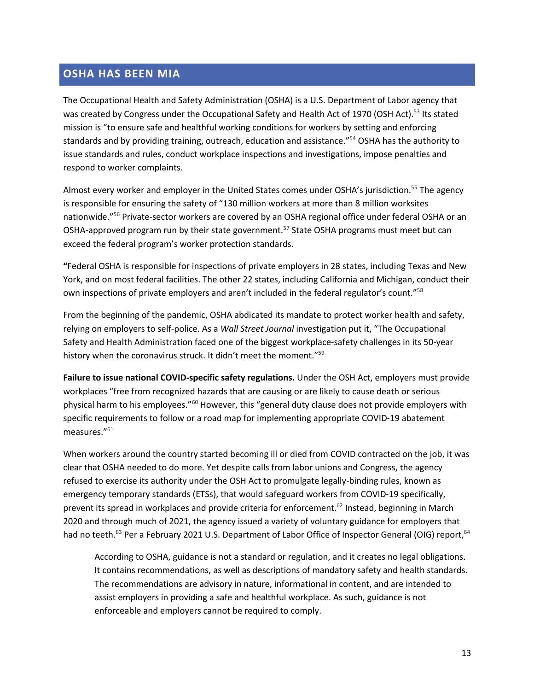## **OSHA HAS BEEN MIA**

The Occupational Health and Safety Administration (OSHA) is a U.S. Department of Labor agency that was created by Congress under the Occupational Safety and Health Act of 1970 (OSH Act).<sup>53</sup> Its stated mission is "to ensure safe and healthful working conditions for workers by setting and enforcing standards and by providing training, outreach, education and assistance."54 OSHA has the authority to issue standards and rules, conduct workplace inspections and investigations, impose penalties and respond to worker complaints.

Almost every worker and employer in the United States comes under OSHA's jurisdiction.<sup>55</sup> The agency is responsible for ensuring the safety of "130 million workers at more than 8 million worksites nationwide."56 Private-sector workers are covered by an OSHA regional office under federal OSHA or an OSHA-approved program run by their state government.<sup>57</sup> State OSHA programs must meet but can exceed the federal program's worker protection standards.

**"**Federal OSHA is responsible for inspections of private employers in 28 states, including Texas and New York, and on most federal facilities. The other 22 states, including California and Michigan, conduct their own inspections of private employers and aren't included in the federal regulator's count."<sup>58</sup>

From the beginning of the pandemic, OSHA abdicated its mandate to protect worker health and safety, relying on employers to self-police. As a *Wall Street Journal* investigation put it, "The Occupational Safety and Health Administration faced one of the biggest workplace-safety challenges in its 50-year history when the coronavirus struck. It didn't meet the moment."<sup>59</sup>

**Failure to issue national COVID-specific safety regulations.** Under the OSH Act, employers must provide workplaces "free from recognized hazards that are causing or are likely to cause death or serious physical harm to his employees."60 However, this "general duty clause does not provide employers with specific requirements to follow or a road map for implementing appropriate COVID-19 abatement measures."61

When workers around the country started becoming ill or died from COVID contracted on the job, it was clear that OSHA needed to do more. Yet despite calls from labor unions and Congress, the agency refused to exercise its authority under the OSH Act to promulgate legally-binding rules, known as emergency temporary standards (ETSs), that would safeguard workers from COVID-19 specifically, prevent its spread in workplaces and provide criteria for enforcement.<sup>62</sup> Instead, beginning in March 2020 and through much of 2021, the agency issued a variety of voluntary guidance for employers that had no teeth.<sup>63</sup> Per a February 2021 U.S. Department of Labor Office of Inspector General (OIG) report,<sup>64</sup>

According to OSHA, guidance is not a standard or regulation, and it creates no legal obligations. It contains recommendations, as well as descriptions of mandatory safety and health standards. The recommendations are advisory in nature, informational in content, and are intended to assist employers in providing a safe and healthful workplace. As such, guidance is not enforceable and employers cannot be required to comply.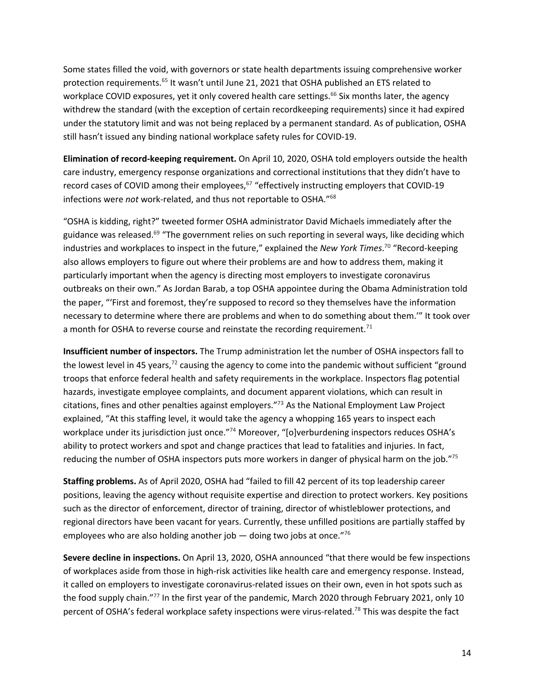Some states filled the void, with governors or state health departments issuing comprehensive worker protection requirements.<sup>65</sup> It wasn't until June 21, 2021 that OSHA published an ETS related to workplace COVID exposures, yet it only covered health care settings.<sup>66</sup> Six months later, the agency withdrew the standard (with the exception of certain recordkeeping requirements) since it had expired under the statutory limit and was not being replaced by a permanent standard. As of publication, OSHA still hasn't issued any binding national workplace safety rules for COVID-19.

**Elimination of record-keeping requirement.** On April 10, 2020, OSHA told employers outside the health care industry, emergency response organizations and correctional institutions that they didn't have to record cases of COVID among their employees, $67$  "effectively instructing employers that COVID-19 infections were *not* work-related, and thus not reportable to OSHA."68

"OSHA is kidding, right?" tweeted former OSHA administrator David Michaels immediately after the guidance was released.<sup>69</sup> "The government relies on such reporting in several ways, like deciding which industries and workplaces to inspect in the future," explained the *New York Times*. <sup>70</sup> "Record-keeping also allows employers to figure out where their problems are and how to address them, making it particularly important when the agency is directing most employers to investigate coronavirus outbreaks on their own." As Jordan Barab, a top OSHA appointee during the Obama Administration told the paper, "'First and foremost, they're supposed to record so they themselves have the information necessary to determine where there are problems and when to do something about them.'" It took over a month for OSHA to reverse course and reinstate the recording requirement.<sup>71</sup>

**Insufficient number of inspectors.** The Trump administration let the number of OSHA inspectors fall to the lowest level in 45 years, $7^2$  causing the agency to come into the pandemic without sufficient "ground" troops that enforce federal health and safety requirements in the workplace. Inspectors flag potential hazards, investigate employee complaints, and document apparent violations, which can result in citations, fines and other penalties against employers."73 As the National Employment Law Project explained, "At this staffing level, it would take the agency a whopping 165 years to inspect each workplace under its jurisdiction just once."<sup>74</sup> Moreover, "[o]verburdening inspectors reduces OSHA's ability to protect workers and spot and change practices that lead to fatalities and injuries. In fact, reducing the number of OSHA inspectors puts more workers in danger of physical harm on the job."<sup>75</sup>

**Staffing problems.** As of April 2020, OSHA had "failed to fill 42 percent of its top leadership career positions, leaving the agency without requisite expertise and direction to protect workers. Key positions such as the director of enforcement, director of training, director of whistleblower protections, and regional directors have been vacant for years. Currently, these unfilled positions are partially staffed by employees who are also holding another job  $-$  doing two jobs at once."<sup>76</sup>

**Severe decline in inspections.** On April 13, 2020, OSHA announced "that there would be few inspections of workplaces aside from those in high-risk activities like health care and emergency response. Instead, it called on employers to investigate coronavirus-related issues on their own, even in hot spots such as the food supply chain."<sup>77</sup> In the first year of the pandemic, March 2020 through February 2021, only 10 percent of OSHA's federal workplace safety inspections were virus-related.<sup>78</sup> This was despite the fact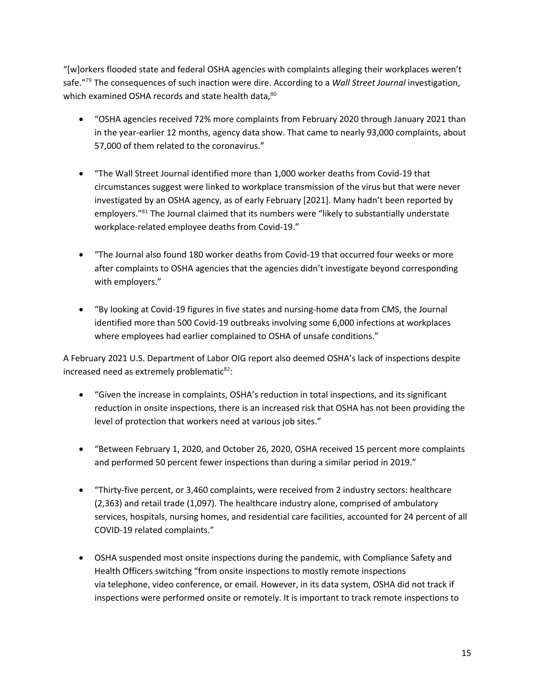"[w]orkers flooded state and federal OSHA agencies with complaints alleging their workplaces weren't safe."79 The consequences of such inaction were dire. According to a *Wall Street Journal* investigation, which examined OSHA records and state health data, 80

- "OSHA agencies received 72% more complaints from February 2020 through January 2021 than in the year-earlier 12 months, agency data show. That came to nearly 93,000 complaints, about 57,000 of them related to the coronavirus."
- "The Wall Street Journal identified more than 1,000 worker deaths from Covid-19 that circumstances suggest were linked to workplace transmission of the virus but that were never investigated by an OSHA agency, as of early February [2021]. Many hadn't been reported by employers."<sup>81</sup> The Journal claimed that its numbers were "likely to substantially understate workplace-related employee deaths from Covid-19."
- "The Journal also found 180 worker deaths from Covid-19 that occurred four weeks or more after complaints to OSHA agencies that the agencies didn't investigate beyond corresponding with employers."
- "By looking at Covid-19 figures in five states and nursing-home data from CMS, the Journal identified more than 500 Covid-19 outbreaks involving some 6,000 infections at workplaces where employees had earlier complained to OSHA of unsafe conditions."

A February 2021 U.S. Department of Labor OIG report also deemed OSHA's lack of inspections despite increased need as extremely problematic $82$ :

- "Given the increase in complaints, OSHA's reduction in total inspections, and its significant reduction in onsite inspections, there is an increased risk that OSHA has not been providing the level of protection that workers need at various job sites."
- "Between February 1, 2020, and October 26, 2020, OSHA received 15 percent more complaints and performed 50 percent fewer inspections than during a similar period in 2019."
- "Thirty-five percent, or 3,460 complaints, were received from 2 industry sectors: healthcare (2,363) and retail trade (1,097). The healthcare industry alone, comprised of ambulatory services, hospitals, nursing homes, and residential care facilities, accounted for 24 percent of all COVID-19 related complaints."
- OSHA suspended most onsite inspections during the pandemic, with Compliance Safety and Health Officers switching "from onsite inspections to mostly remote inspections via telephone, video conference, or email. However, in its data system, OSHA did not track if inspections were performed onsite or remotely. It is important to track remote inspections to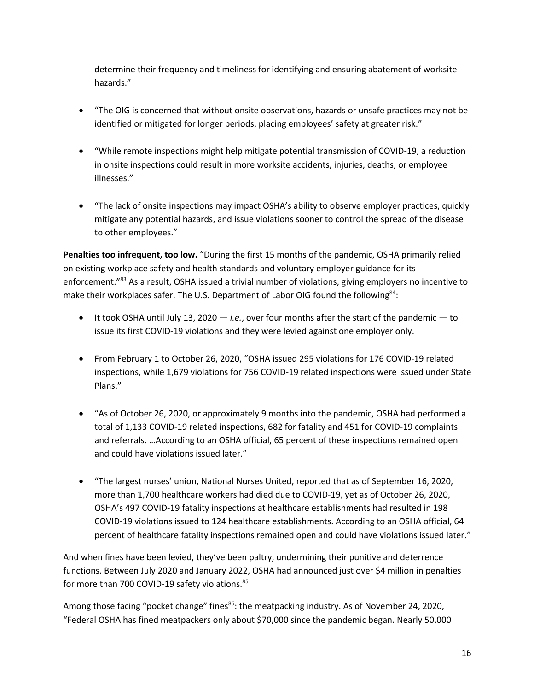determine their frequency and timeliness for identifying and ensuring abatement of worksite hazards."

- "The OIG is concerned that without onsite observations, hazards or unsafe practices may not be identified or mitigated for longer periods, placing employees' safety at greater risk."
- "While remote inspections might help mitigate potential transmission of COVID-19, a reduction in onsite inspections could result in more worksite accidents, injuries, deaths, or employee illnesses."
- "The lack of onsite inspections may impact OSHA's ability to observe employer practices, quickly mitigate any potential hazards, and issue violations sooner to control the spread of the disease to other employees."

Penalties too infrequent, too low. "During the first 15 months of the pandemic, OSHA primarily relied on existing workplace safety and health standards and voluntary employer guidance for its enforcement."<sup>83</sup> As a result, OSHA issued a trivial number of violations, giving employers no incentive to make their workplaces safer. The U.S. Department of Labor OIG found the following<sup>84</sup>:

- It took OSHA until July 13, 2020 *i.e.*, over four months after the start of the pandemic to issue its first COVID-19 violations and they were levied against one employer only.
- From February 1 to October 26, 2020, "OSHA issued 295 violations for 176 COVID-19 related inspections, while 1,679 violations for 756 COVID-19 related inspections were issued under State Plans."
- "As of October 26, 2020, or approximately 9 months into the pandemic, OSHA had performed a total of 1,133 COVID-19 related inspections, 682 for fatality and 451 for COVID-19 complaints and referrals. …According to an OSHA official, 65 percent of these inspections remained open and could have violations issued later."
- "The largest nurses' union, National Nurses United, reported that as of September 16, 2020, more than 1,700 healthcare workers had died due to COVID-19, yet as of October 26, 2020, OSHA's 497 COVID-19 fatality inspections at healthcare establishments had resulted in 198 COVID-19 violations issued to 124 healthcare establishments. According to an OSHA official, 64 percent of healthcare fatality inspections remained open and could have violations issued later."

And when fines have been levied, they've been paltry, undermining their punitive and deterrence functions. Between July 2020 and January 2022, OSHA had announced just over \$4 million in penalties for more than 700 COVID-19 safety violations.<sup>85</sup>

Among those facing "pocket change" fines<sup>86</sup>: the meatpacking industry. As of November 24, 2020, "Federal OSHA has fined meatpackers only about \$70,000 since the pandemic began. Nearly 50,000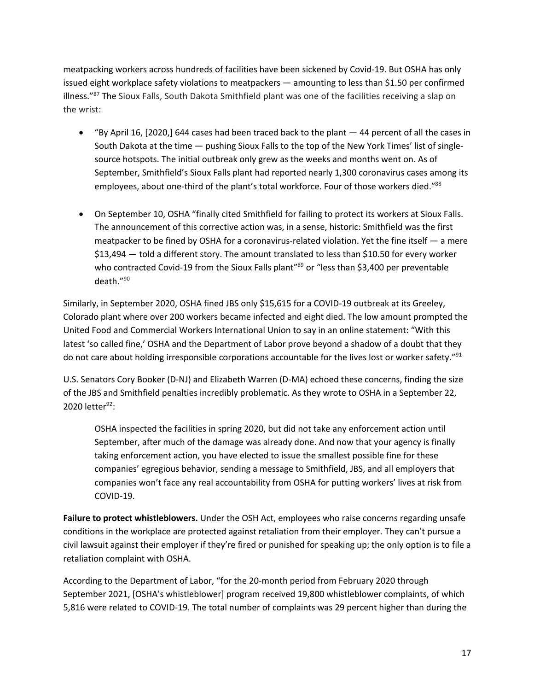meatpacking workers across hundreds of facilities have been sickened by Covid-19. But OSHA has only issued eight workplace safety violations to meatpackers — amounting to less than \$1.50 per confirmed illness."<sup>87</sup> The Sioux Falls, South Dakota Smithfield plant was one of the facilities receiving a slap on the wrist:

- "By April 16, [2020,] 644 cases had been traced back to the plant 44 percent of all the cases in South Dakota at the time — pushing Sioux Falls to the top of the New York Times' list of singlesource hotspots. The initial outbreak only grew as the weeks and months went on. As of September, Smithfield's Sioux Falls plant had reported nearly 1,300 coronavirus cases among its employees, about one-third of the plant's total workforce. Four of those workers died."88
- On September 10, OSHA "finally cited Smithfield for failing to protect its workers at Sioux Falls. The announcement of this corrective action was, in a sense, historic: Smithfield was the first meatpacker to be fined by OSHA for a coronavirus-related violation. Yet the fine itself — a mere \$13,494 — told a different story. The amount translated to less than \$10.50 for every worker who contracted Covid-19 from the Sioux Falls plant<sup>"89</sup> or "less than \$3,400 per preventable death."90

Similarly, in September 2020, OSHA fined JBS only \$15,615 for a COVID-19 outbreak at its Greeley, Colorado plant where over 200 workers became infected and eight died. The low amount prompted the United Food and Commercial Workers International Union to say in an online statement: "With this latest 'so called fine,' OSHA and the Department of Labor prove beyond a shadow of a doubt that they do not care about holding irresponsible corporations accountable for the lives lost or worker safety."91

U.S. Senators Cory Booker (D-NJ) and Elizabeth Warren (D-MA) echoed these concerns, finding the size of the JBS and Smithfield penalties incredibly problematic. As they wrote to OSHA in a September 22, 2020 letter $92$ :

OSHA inspected the facilities in spring 2020, but did not take any enforcement action until September, after much of the damage was already done. And now that your agency is finally taking enforcement action, you have elected to issue the smallest possible fine for these companies' egregious behavior, sending a message to Smithfield, JBS, and all employers that companies won't face any real accountability from OSHA for putting workers' lives at risk from COVID-19.

**Failure to protect whistleblowers.** Under the OSH Act, employees who raise concerns regarding unsafe conditions in the workplace are protected against retaliation from their employer. They can't pursue a civil lawsuit against their employer if they're fired or punished for speaking up; the only option is to file a retaliation complaint with OSHA.

According to the Department of Labor, "for the 20-month period from February 2020 through September 2021, [OSHA's whistleblower] program received 19,800 whistleblower complaints, of which 5,816 were related to COVID-19. The total number of complaints was 29 percent higher than during the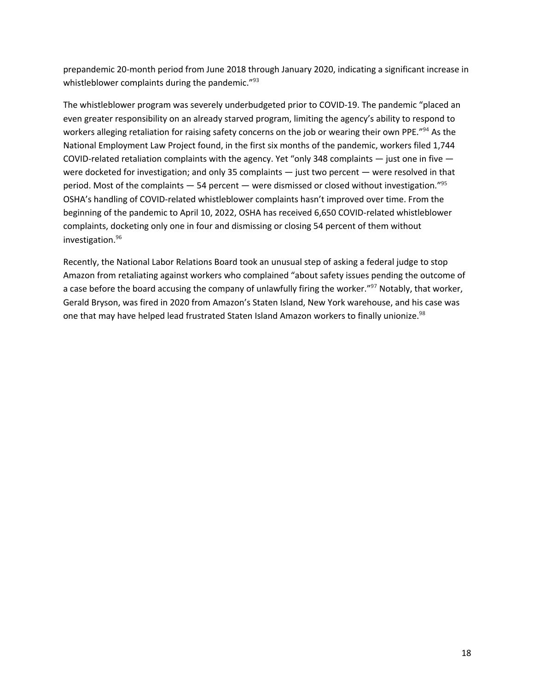prepandemic 20-month period from June 2018 through January 2020, indicating a significant increase in whistleblower complaints during the pandemic."<sup>93</sup>

The whistleblower program was severely underbudgeted prior to COVID-19. The pandemic "placed an even greater responsibility on an already starved program, limiting the agency's ability to respond to workers alleging retaliation for raising safety concerns on the job or wearing their own PPE."<sup>94</sup> As the National Employment Law Project found, in the first six months of the pandemic, workers filed 1,744 COVID-related retaliation complaints with the agency. Yet "only 348 complaints  $-$  just one in five  $$ were docketed for investigation; and only 35 complaints — just two percent — were resolved in that period. Most of the complaints  $-54$  percent  $-$  were dismissed or closed without investigation."<sup>95</sup> OSHA's handling of COVID-related whistleblower complaints hasn't improved over time. From the beginning of the pandemic to April 10, 2022, OSHA has received 6,650 COVID-related whistleblower complaints, docketing only one in four and dismissing or closing 54 percent of them without investigation.96

Recently, the National Labor Relations Board took an unusual step of asking a federal judge to stop Amazon from retaliating against workers who complained "about safety issues pending the outcome of a case before the board accusing the company of unlawfully firing the worker."<sup>97</sup> Notably, that worker, Gerald Bryson, was fired in 2020 from Amazon's Staten Island, New York warehouse, and his case was one that may have helped lead frustrated Staten Island Amazon workers to finally unionize.<sup>98</sup>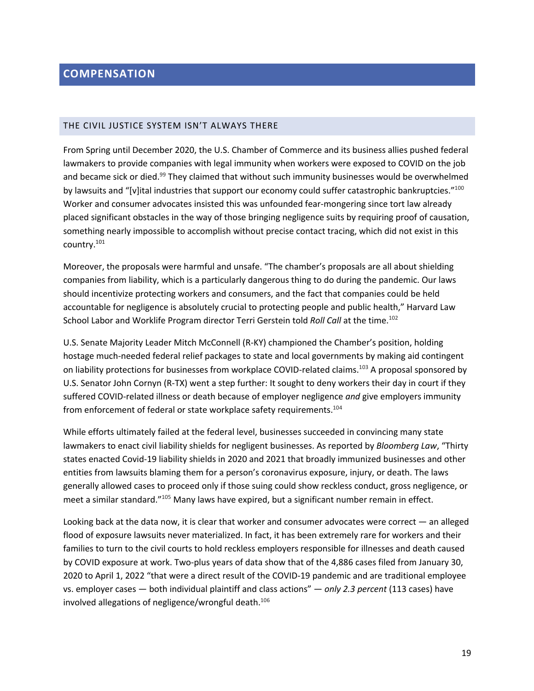#### THE CIVIL JUSTICE SYSTEM ISN'T ALWAYS THERE

From Spring until December 2020, the U.S. Chamber of Commerce and its business allies pushed federal lawmakers to provide companies with legal immunity when workers were exposed to COVID on the job and became sick or died.<sup>99</sup> They claimed that without such immunity businesses would be overwhelmed by lawsuits and "[v]ital industries that support our economy could suffer catastrophic bankruptcies."<sup>100</sup> Worker and consumer advocates insisted this was unfounded fear-mongering since tort law already placed significant obstacles in the way of those bringing negligence suits by requiring proof of causation, something nearly impossible to accomplish without precise contact tracing, which did not exist in this country.101

Moreover, the proposals were harmful and unsafe. "The chamber's proposals are all about shielding companies from liability, which is a particularly dangerous thing to do during the pandemic. Our laws should incentivize protecting workers and consumers, and the fact that companies could be held accountable for negligence is absolutely crucial to protecting people and public health," Harvard Law School Labor and Worklife Program director Terri Gerstein told *Roll Call* at the time.<sup>102</sup>

U.S. Senate Majority Leader Mitch McConnell (R-KY) championed the Chamber's position, holding hostage much-needed federal relief packages to state and local governments by making aid contingent on liability protections for businesses from workplace COVID-related claims.<sup>103</sup> A proposal sponsored by U.S. Senator John Cornyn (R-TX) went a step further: It sought to deny workers their day in court if they suffered COVID-related illness or death because of employer negligence *and* give employers immunity from enforcement of federal or state workplace safety requirements.<sup>104</sup>

While efforts ultimately failed at the federal level, businesses succeeded in convincing many state lawmakers to enact civil liability shields for negligent businesses. As reported by *Bloomberg Law*, "Thirty states enacted Covid-19 liability shields in 2020 and 2021 that broadly immunized businesses and other entities from lawsuits blaming them for a person's coronavirus exposure, injury, or death. The laws generally allowed cases to proceed only if those suing could show reckless conduct, gross negligence, or meet a similar standard."<sup>105</sup> Many laws have expired, but a significant number remain in effect.

Looking back at the data now, it is clear that worker and consumer advocates were correct — an alleged flood of exposure lawsuits never materialized. In fact, it has been extremely rare for workers and their families to turn to the civil courts to hold reckless employers responsible for illnesses and death caused by COVID exposure at work. Two-plus years of data show that of the 4,886 cases filed from January 30, 2020 to April 1, 2022 "that were a direct result of the COVID-19 pandemic and are traditional employee vs. employer cases — both individual plaintiff and class actions" — *only 2.3 percent* (113 cases) have involved allegations of negligence/wrongful death.<sup>106</sup>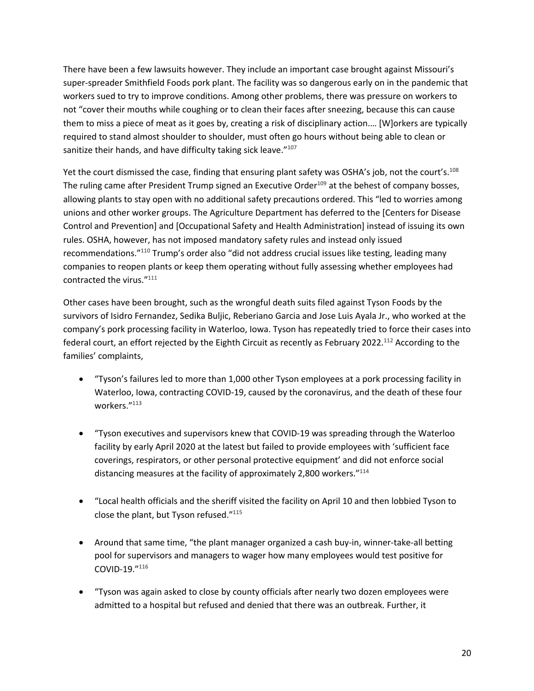There have been a few lawsuits however. They include an important case brought against Missouri's super-spreader Smithfield Foods pork plant. The facility was so dangerous early on in the pandemic that workers sued to try to improve conditions. Among other problems, there was pressure on workers to not "cover their mouths while coughing or to clean their faces after sneezing, because this can cause them to miss a piece of meat as it goes by, creating a risk of disciplinary action.… [W]orkers are typically required to stand almost shoulder to shoulder, must often go hours without being able to clean or sanitize their hands, and have difficulty taking sick leave."<sup>107</sup>

Yet the court dismissed the case, finding that ensuring plant safety was OSHA's job, not the court's.<sup>108</sup> The ruling came after President Trump signed an Executive Order $109$  at the behest of company bosses, allowing plants to stay open with no additional safety precautions ordered. This "led to worries among unions and other worker groups. The Agriculture Department has deferred to the [Centers for Disease Control and Prevention] and [Occupational Safety and Health Administration] instead of issuing its own rules. OSHA, however, has not imposed mandatory safety rules and instead only issued recommendations."110 Trump's order also "did not address crucial issues like testing, leading many companies to reopen plants or keep them operating without fully assessing whether employees had contracted the virus."111

Other cases have been brought, such as the wrongful death suits filed against Tyson Foods by the survivors of Isidro Fernandez, Sedika Buljic, Reberiano Garcia and Jose Luis Ayala Jr., who worked at the company's pork processing facility in Waterloo, Iowa. Tyson has repeatedly tried to force their cases into federal court, an effort rejected by the Eighth Circuit as recently as February 2022.<sup>112</sup> According to the families' complaints,

- "Tyson's failures led to more than 1,000 other Tyson employees at a pork processing facility in Waterloo, Iowa, contracting COVID-19, caused by the coronavirus, and the death of these four workers."113
- "Tyson executives and supervisors knew that COVID-19 was spreading through the Waterloo facility by early April 2020 at the latest but failed to provide employees with 'sufficient face coverings, respirators, or other personal protective equipment' and did not enforce social distancing measures at the facility of approximately 2,800 workers."114
- "Local health officials and the sheriff visited the facility on April 10 and then lobbied Tyson to close the plant, but Tyson refused."115
- Around that same time, "the plant manager organized a cash buy-in, winner-take-all betting pool for supervisors and managers to wager how many employees would test positive for COVID-19."116
- "Tyson was again asked to close by county officials after nearly two dozen employees were admitted to a hospital but refused and denied that there was an outbreak. Further, it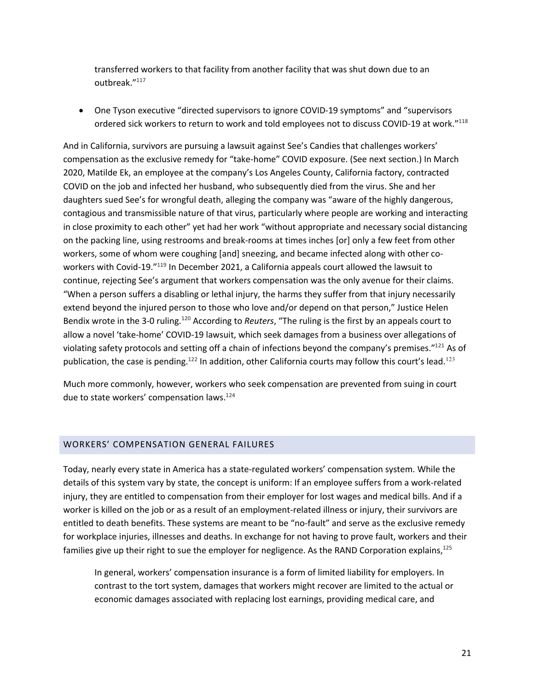transferred workers to that facility from another facility that was shut down due to an outbreak."117

• One Tyson executive "directed supervisors to ignore COVID-19 symptoms" and "supervisors ordered sick workers to return to work and told employees not to discuss COVID-19 at work."<sup>118</sup>

And in California, survivors are pursuing a lawsuit against See's Candies that challenges workers' compensation as the exclusive remedy for "take-home" COVID exposure. (See next section.) In March 2020, Matilde Ek, an employee at the company's Los Angeles County, California factory, contracted COVID on the job and infected her husband, who subsequently died from the virus. She and her daughters sued See's for wrongful death, alleging the company was "aware of the highly dangerous, contagious and transmissible nature of that virus, particularly where people are working and interacting in close proximity to each other" yet had her work "without appropriate and necessary social distancing on the packing line, using restrooms and break-rooms at times inches [or] only a few feet from other workers, some of whom were coughing [and] sneezing, and became infected along with other coworkers with Covid-19."119 In December 2021, a California appeals court allowed the lawsuit to continue, rejecting See's argument that workers compensation was the only avenue for their claims. "When a person suffers a disabling or lethal injury, the harms they suffer from that injury necessarily extend beyond the injured person to those who love and/or depend on that person," Justice Helen Bendix wrote in the 3-0 ruling.120 According to *Reuters*, "The ruling is the first by an appeals court to allow a novel 'take-home' COVID-19 lawsuit, which seek damages from a business over allegations of violating safety protocols and setting off a chain of infections beyond the company's premises."<sup>121</sup> As of publication, the case is pending.<sup>122</sup> In addition, other California courts may follow this court's lead.<sup>123</sup>

Much more commonly, however, workers who seek compensation are prevented from suing in court due to state workers' compensation laws.<sup>124</sup>

#### WORKERS' COMPENSATION GENERAL FAILURES

Today, nearly every state in America has a state-regulated workers' compensation system. While the details of this system vary by state, the concept is uniform: If an employee suffers from a work-related injury, they are entitled to compensation from their employer for lost wages and medical bills. And if a worker is killed on the job or as a result of an employment-related illness or injury, their survivors are entitled to death benefits. These systems are meant to be "no-fault" and serve as the exclusive remedy for workplace injuries, illnesses and deaths. In exchange for not having to prove fault, workers and their families give up their right to sue the employer for negligence. As the RAND Corporation explains,<sup>125</sup>

In general, workers' compensation insurance is a form of limited liability for employers. In contrast to the tort system, damages that workers might recover are limited to the actual or economic damages associated with replacing lost earnings, providing medical care, and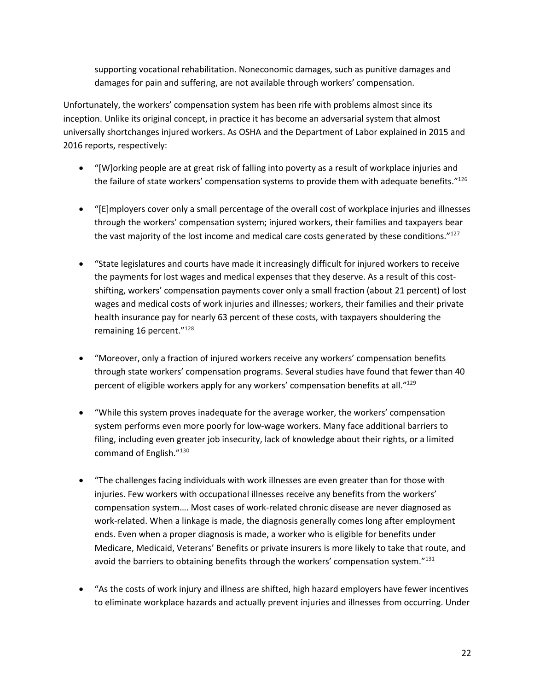supporting vocational rehabilitation. Noneconomic damages, such as punitive damages and damages for pain and suffering, are not available through workers' compensation.

Unfortunately, the workers' compensation system has been rife with problems almost since its inception. Unlike its original concept, in practice it has become an adversarial system that almost universally shortchanges injured workers. As OSHA and the Department of Labor explained in 2015 and 2016 reports, respectively:

- "[W]orking people are at great risk of falling into poverty as a result of workplace injuries and the failure of state workers' compensation systems to provide them with adequate benefits."126
- "[E]mployers cover only a small percentage of the overall cost of workplace injuries and illnesses through the workers' compensation system; injured workers, their families and taxpayers bear the vast majority of the lost income and medical care costs generated by these conditions. $"127$
- "State legislatures and courts have made it increasingly difficult for injured workers to receive the payments for lost wages and medical expenses that they deserve. As a result of this costshifting, workers' compensation payments cover only a small fraction (about 21 percent) of lost wages and medical costs of work injuries and illnesses; workers, their families and their private health insurance pay for nearly 63 percent of these costs, with taxpayers shouldering the remaining 16 percent."<sup>128</sup>
- "Moreover, only a fraction of injured workers receive any workers' compensation benefits through state workers' compensation programs. Several studies have found that fewer than 40 percent of eligible workers apply for any workers' compensation benefits at all."129
- "While this system proves inadequate for the average worker, the workers' compensation system performs even more poorly for low-wage workers. Many face additional barriers to filing, including even greater job insecurity, lack of knowledge about their rights, or a limited command of English."130
- "The challenges facing individuals with work illnesses are even greater than for those with injuries. Few workers with occupational illnesses receive any benefits from the workers' compensation system…. Most cases of work-related chronic disease are never diagnosed as work-related. When a linkage is made, the diagnosis generally comes long after employment ends. Even when a proper diagnosis is made, a worker who is eligible for benefits under Medicare, Medicaid, Veterans' Benefits or private insurers is more likely to take that route, and avoid the barriers to obtaining benefits through the workers' compensation system."<sup>131</sup>
- "As the costs of work injury and illness are shifted, high hazard employers have fewer incentives to eliminate workplace hazards and actually prevent injuries and illnesses from occurring. Under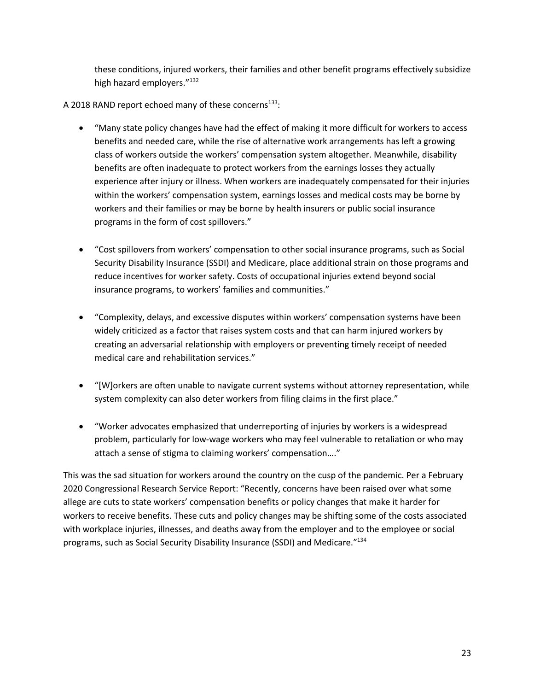these conditions, injured workers, their families and other benefit programs effectively subsidize high hazard employers."<sup>132</sup>

A 2018 RAND report echoed many of these concerns<sup>133</sup>:

- "Many state policy changes have had the effect of making it more difficult for workers to access benefits and needed care, while the rise of alternative work arrangements has left a growing class of workers outside the workers' compensation system altogether. Meanwhile, disability benefits are often inadequate to protect workers from the earnings losses they actually experience after injury or illness. When workers are inadequately compensated for their injuries within the workers' compensation system, earnings losses and medical costs may be borne by workers and their families or may be borne by health insurers or public social insurance programs in the form of cost spillovers."
- "Cost spillovers from workers' compensation to other social insurance programs, such as Social Security Disability Insurance (SSDI) and Medicare, place additional strain on those programs and reduce incentives for worker safety. Costs of occupational injuries extend beyond social insurance programs, to workers' families and communities."
- "Complexity, delays, and excessive disputes within workers' compensation systems have been widely criticized as a factor that raises system costs and that can harm injured workers by creating an adversarial relationship with employers or preventing timely receipt of needed medical care and rehabilitation services."
- "[W]orkers are often unable to navigate current systems without attorney representation, while system complexity can also deter workers from filing claims in the first place."
- "Worker advocates emphasized that underreporting of injuries by workers is a widespread problem, particularly for low-wage workers who may feel vulnerable to retaliation or who may attach a sense of stigma to claiming workers' compensation…."

This was the sad situation for workers around the country on the cusp of the pandemic. Per a February 2020 Congressional Research Service Report: "Recently, concerns have been raised over what some allege are cuts to state workers' compensation benefits or policy changes that make it harder for workers to receive benefits. These cuts and policy changes may be shifting some of the costs associated with workplace injuries, illnesses, and deaths away from the employer and to the employee or social programs, such as Social Security Disability Insurance (SSDI) and Medicare."134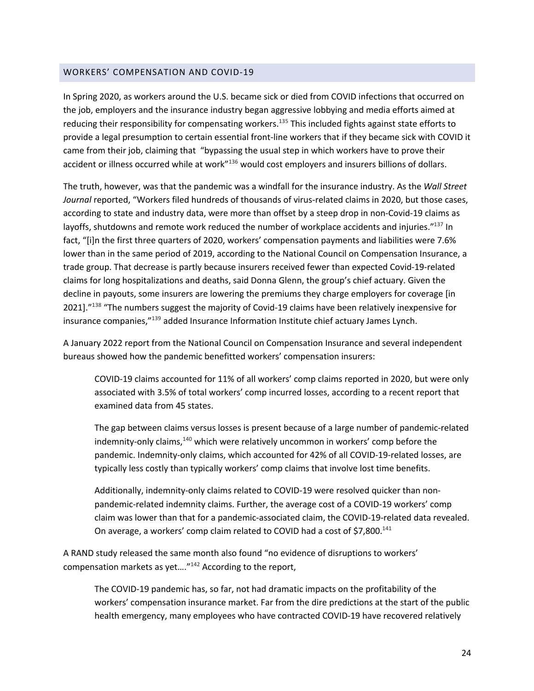#### WORKERS' COMPENSATION AND COVID-19

In Spring 2020, as workers around the U.S. became sick or died from COVID infections that occurred on the job, employers and the insurance industry began aggressive lobbying and media efforts aimed at reducing their responsibility for compensating workers.<sup>135</sup> This included fights against state efforts to provide a legal presumption to certain essential front-line workers that if they became sick with COVID it came from their job, claiming that "bypassing the usual step in which workers have to prove their accident or illness occurred while at work"<sup>136</sup> would cost employers and insurers billions of dollars.

The truth, however, was that the pandemic was a windfall for the insurance industry. As the *Wall Street Journal* reported, "Workers filed hundreds of thousands of virus-related claims in 2020, but those cases, according to state and industry data, were more than offset by a steep drop in non-Covid-19 claims as layoffs, shutdowns and remote work reduced the number of workplace accidents and injuries."137 In fact, "[i]n the first three quarters of 2020, workers' compensation payments and liabilities were 7.6% lower than in the same period of 2019, according to the National Council on Compensation Insurance, a trade group. That decrease is partly because insurers received fewer than expected Covid-19-related claims for long hospitalizations and deaths, said Donna Glenn, the group's chief actuary. Given the decline in payouts, some insurers are lowering the premiums they charge employers for coverage [in 20211."<sup>138</sup> "The numbers suggest the majority of Covid-19 claims have been relatively inexpensive for insurance companies,"139 added Insurance Information Institute chief actuary James Lynch.

A January 2022 report from the National Council on Compensation Insurance and several independent bureaus showed how the pandemic benefitted workers' compensation insurers:

COVID-19 claims accounted for 11% of all workers' comp claims reported in 2020, but were only associated with 3.5% of total workers' comp incurred losses, according to a recent report that examined data from 45 states.

The gap between claims versus losses is present because of a large number of pandemic-related indemnity-only claims,<sup>140</sup> which were relatively uncommon in workers' comp before the pandemic. Indemnity-only claims, which accounted for 42% of all COVID-19-related losses, are typically less costly than typically workers' comp claims that involve lost time benefits.

Additionally, indemnity-only claims related to COVID-19 were resolved quicker than nonpandemic-related indemnity claims. Further, the average cost of a COVID-19 workers' comp claim was lower than that for a pandemic-associated claim, the COVID-19-related data revealed. On average, a workers' comp claim related to COVID had a cost of \$7,800.<sup>141</sup>

A RAND study released the same month also found "no evidence of disruptions to workers' compensation markets as yet…."142 According to the report,

The COVID-19 pandemic has, so far, not had dramatic impacts on the profitability of the workers' compensation insurance market. Far from the dire predictions at the start of the public health emergency, many employees who have contracted COVID-19 have recovered relatively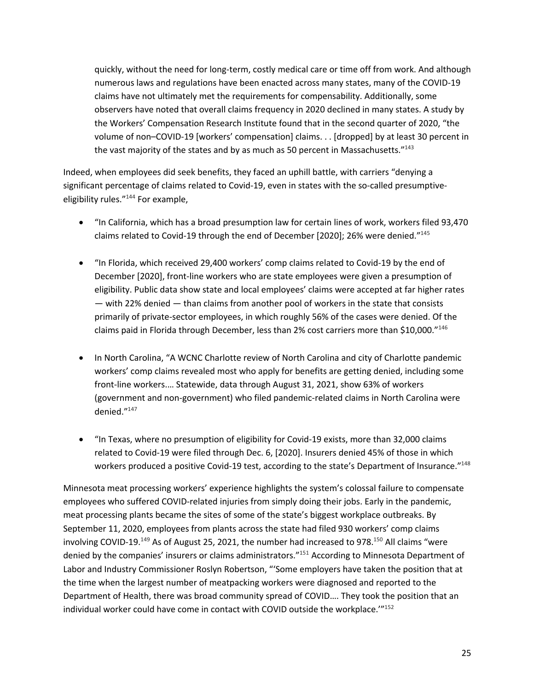quickly, without the need for long-term, costly medical care or time off from work. And although numerous laws and regulations have been enacted across many states, many of the COVID-19 claims have not ultimately met the requirements for compensability. Additionally, some observers have noted that overall claims frequency in 2020 declined in many states. A study by the Workers' Compensation Research Institute found that in the second quarter of 2020, "the volume of non–COVID-19 [workers' compensation] claims. . . [dropped] by at least 30 percent in the vast majority of the states and by as much as 50 percent in Massachusetts."<sup>143</sup>

Indeed, when employees did seek benefits, they faced an uphill battle, with carriers "denying a significant percentage of claims related to Covid-19, even in states with the so-called presumptiveeligibility rules."144 For example,

- "In California, which has a broad presumption law for certain lines of work, workers filed 93,470 claims related to Covid-19 through the end of December [2020]; 26% were denied."<sup>145</sup>
- "In Florida, which received 29,400 workers' comp claims related to Covid-19 by the end of December [2020], front-line workers who are state employees were given a presumption of eligibility. Public data show state and local employees' claims were accepted at far higher rates — with 22% denied — than claims from another pool of workers in the state that consists primarily of private-sector employees, in which roughly 56% of the cases were denied. Of the claims paid in Florida through December, less than 2% cost carriers more than \$10,000."146
- In North Carolina, "A WCNC Charlotte review of North Carolina and city of Charlotte pandemic workers' comp claims revealed most who apply for benefits are getting denied, including some front-line workers.… Statewide, data through August 31, 2021, show 63% of workers (government and non-government) who filed pandemic-related claims in North Carolina were denied."147
- "In Texas, where no presumption of eligibility for Covid-19 exists, more than 32,000 claims related to Covid-19 were filed through Dec. 6, [2020]. Insurers denied 45% of those in which workers produced a positive Covid-19 test, according to the state's Department of Insurance."<sup>148</sup>

Minnesota meat processing workers' experience highlights the system's colossal failure to compensate employees who suffered COVID-related injuries from simply doing their jobs. Early in the pandemic, meat processing plants became the sites of some of the state's biggest workplace outbreaks. By September 11, 2020, employees from plants across the state had filed 930 workers' comp claims involving COVID-19.<sup>149</sup> As of August 25, 2021, the number had increased to 978.<sup>150</sup> All claims "were denied by the companies' insurers or claims administrators."<sup>151</sup> According to Minnesota Department of Labor and Industry Commissioner Roslyn Robertson, "'Some employers have taken the position that at the time when the largest number of meatpacking workers were diagnosed and reported to the Department of Health, there was broad community spread of COVID…. They took the position that an individual worker could have come in contact with COVID outside the workplace.'"152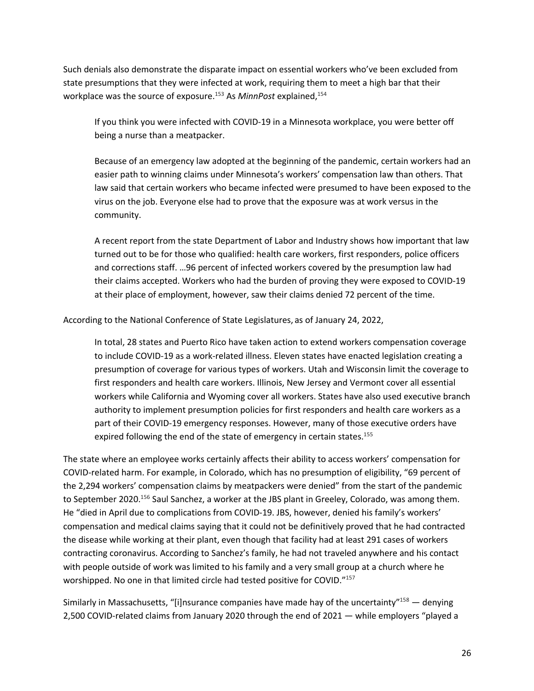Such denials also demonstrate the disparate impact on essential workers who've been excluded from state presumptions that they were infected at work, requiring them to meet a high bar that their workplace was the source of exposure.<sup>153</sup> As *MinnPost* explained,<sup>154</sup>

If you think you were infected with COVID-19 in a Minnesota workplace, you were better off being a nurse than a meatpacker.

Because of an emergency law adopted at the beginning of the pandemic, certain workers had an easier path to winning claims under Minnesota's workers' compensation law than others. That law said that certain workers who became infected were presumed to have been exposed to the virus on the job. Everyone else had to prove that the exposure was at work versus in the community.

A recent report from the state Department of Labor and Industry shows how important that law turned out to be for those who qualified: health care workers, first responders, police officers and corrections staff. …96 percent of infected workers covered by the presumption law had their claims accepted. Workers who had the burden of proving they were exposed to COVID-19 at their place of employment, however, saw their claims denied 72 percent of the time.

According to the National Conference of State Legislatures, as of January 24, 2022,

In total, 28 states and Puerto Rico have taken action to extend workers compensation coverage to include COVID-19 as a work-related illness. Eleven states have enacted legislation creating a presumption of coverage for various types of workers. Utah and Wisconsin limit the coverage to first responders and health care workers. Illinois, New Jersey and Vermont cover all essential workers while California and Wyoming cover all workers. States have also used executive branch authority to implement presumption policies for first responders and health care workers as a part of their COVID-19 emergency responses. However, many of those executive orders have expired following the end of the state of emergency in certain states.<sup>155</sup>

The state where an employee works certainly affects their ability to access workers' compensation for COVID-related harm. For example, in Colorado, which has no presumption of eligibility, "69 percent of the 2,294 workers' compensation claims by meatpackers were denied" from the start of the pandemic to September 2020.<sup>156</sup> Saul Sanchez, a worker at the JBS plant in Greeley, Colorado, was among them. He "died in April due to complications from COVID-19. JBS, however, denied his family's workers' compensation and medical claims saying that it could not be definitively proved that he had contracted the disease while working at their plant, even though that facility had at least 291 cases of workers contracting coronavirus. According to Sanchez's family, he had not traveled anywhere and his contact with people outside of work was limited to his family and a very small group at a church where he worshipped. No one in that limited circle had tested positive for COVID."<sup>157</sup>

Similarly in Massachusetts, "[i]nsurance companies have made hay of the uncertainty"<sup>158</sup> — denying 2,500 COVID-related claims from January 2020 through the end of 2021 — while employers "played a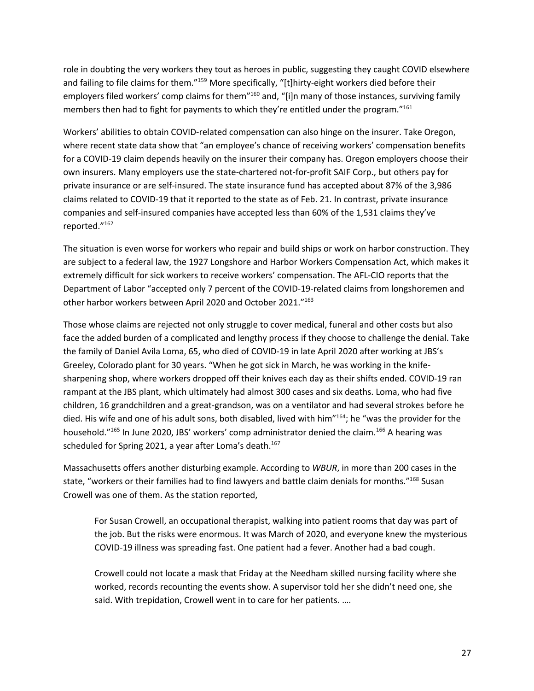role in doubting the very workers they tout as heroes in public, suggesting they caught COVID elsewhere and failing to file claims for them."<sup>159</sup> More specifically, "[t]hirty-eight workers died before their employers filed workers' comp claims for them"<sup>160</sup> and, "[i]n many of those instances, surviving family members then had to fight for payments to which they're entitled under the program."161

Workers' abilities to obtain COVID-related compensation can also hinge on the insurer. Take Oregon, where recent state data show that "an employee's chance of receiving workers' compensation benefits for a COVID-19 claim depends heavily on the insurer their company has. Oregon employers choose their own insurers. Many employers use the state-chartered not-for-profit SAIF Corp., but others pay for private insurance or are self-insured. The state insurance fund has accepted about 87% of the 3,986 claims related to COVID-19 that it reported to the state as of Feb. 21. In contrast, private insurance companies and self-insured companies have accepted less than 60% of the 1,531 claims they've reported."162

The situation is even worse for workers who repair and build ships or work on harbor construction. They are subject to a federal law, the 1927 Longshore and Harbor Workers Compensation Act, which makes it extremely difficult for sick workers to receive workers' compensation. The AFL-CIO reports that the Department of Labor "accepted only 7 percent of the COVID-19-related claims from longshoremen and other harbor workers between April 2020 and October 2021."163

Those whose claims are rejected not only struggle to cover medical, funeral and other costs but also face the added burden of a complicated and lengthy process if they choose to challenge the denial. Take the family of Daniel Avila Loma, 65, who died of COVID-19 in late April 2020 after working at JBS's Greeley, Colorado plant for 30 years. "When he got sick in March, he was working in the knifesharpening shop, where workers dropped off their knives each day as their shifts ended. COVID-19 ran rampant at the JBS plant, which ultimately had almost 300 cases and six deaths. Loma, who had five children, 16 grandchildren and a great-grandson, was on a ventilator and had several strokes before he died. His wife and one of his adult sons, both disabled, lived with him"<sup>164</sup>; he "was the provider for the household."<sup>165</sup> In June 2020, JBS' workers' comp administrator denied the claim.<sup>166</sup> A hearing was scheduled for Spring 2021, a year after Loma's death.<sup>167</sup>

Massachusetts offers another disturbing example. According to *WBUR*, in more than 200 cases in the state, "workers or their families had to find lawyers and battle claim denials for months."168 Susan Crowell was one of them. As the station reported,

For Susan Crowell, an occupational therapist, walking into patient rooms that day was part of the job. But the risks were enormous. It was March of 2020, and everyone knew the mysterious COVID-19 illness was spreading fast. One patient had a fever. Another had a bad cough.

Crowell could not locate a mask that Friday at the Needham skilled nursing facility where she worked, records recounting the events show. A supervisor told her she didn't need one, she said. With trepidation, Crowell went in to care for her patients. ….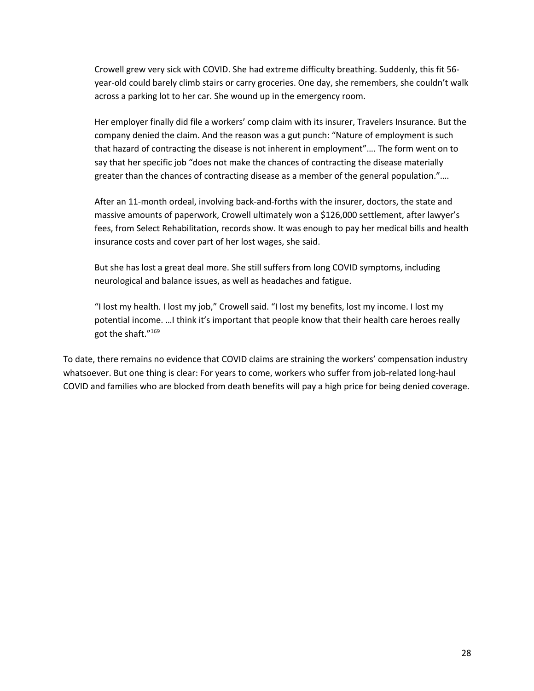Crowell grew very sick with COVID. She had extreme difficulty breathing. Suddenly, this fit 56 year-old could barely climb stairs or carry groceries. One day, she remembers, she couldn't walk across a parking lot to her car. She wound up in the emergency room.

Her employer finally did file a workers' comp claim with its insurer, Travelers Insurance. But the company denied the claim. And the reason was a gut punch: "Nature of employment is such that hazard of contracting the disease is not inherent in employment"…. The form went on to say that her specific job "does not make the chances of contracting the disease materially greater than the chances of contracting disease as a member of the general population."….

After an 11-month ordeal, involving back-and-forths with the insurer, doctors, the state and massive amounts of paperwork, Crowell ultimately won a \$126,000 settlement, after lawyer's fees, from Select Rehabilitation, records show. It was enough to pay her medical bills and health insurance costs and cover part of her lost wages, she said.

But she has lost a great deal more. She still suffers from long COVID symptoms, including neurological and balance issues, as well as headaches and fatigue.

"I lost my health. I lost my job," Crowell said. "I lost my benefits, lost my income. I lost my potential income. …I think it's important that people know that their health care heroes really got the shaft."169

To date, there remains no evidence that COVID claims are straining the workers' compensation industry whatsoever. But one thing is clear: For years to come, workers who suffer from job-related long-haul COVID and families who are blocked from death benefits will pay a high price for being denied coverage.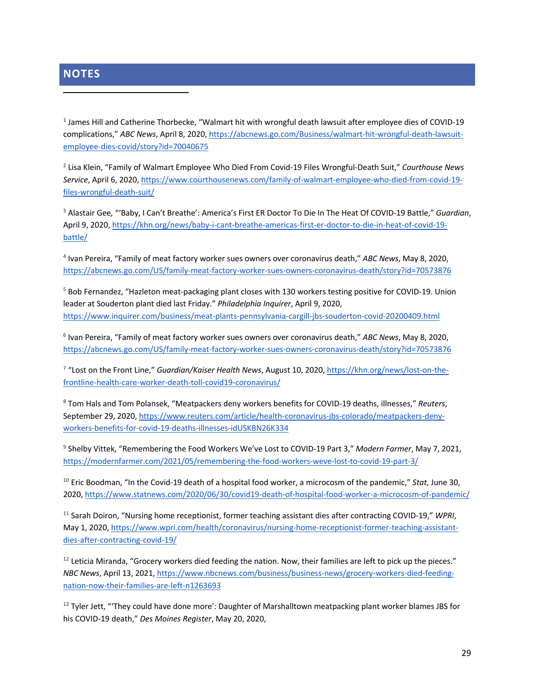## **NOTES**

<sup>1</sup> James Hill and Catherine Thorbecke, "Walmart hit with wrongful death lawsuit after employee dies of COVID-19 complications," *ABC News*, April 8, 2020, https://abcnews.go.com/Business/walmart-hit-wrongful-death-lawsuitemployee-dies-covid/story?id=70040675

<sup>2</sup> Lisa Klein, "Family of Walmart Employee Who Died From Covid-19 Files Wrongful-Death Suit," *Courthouse News Service*, April 6, 2020, https://www.courthousenews.com/family-of-walmart-employee-who-died-from-covid-19 files-wrongful-death-suit/

<sup>3</sup> Alastair Gee*,* "'Baby, I Can't Breathe': America's First ER Doctor To Die In The Heat Of COVID-19 Battle," *Guardian*, April 9, 2020, https://khn.org/news/baby-i-cant-breathe-americas-first-er-doctor-to-die-in-heat-of-covid-19 battle/

<sup>4</sup> Ivan Pereira, "Family of meat factory worker sues owners over coronavirus death," *ABC News*, May 8, 2020, https://abcnews.go.com/US/family-meat-factory-worker-sues-owners-coronavirus-death/story?id=70573876

<sup>5</sup> Bob Fernandez, "Hazleton meat-packaging plant closes with 130 workers testing positive for COVID-19. Union leader at Souderton plant died last Friday." *Philadelphia Inquirer*, April 9, 2020, https://www.inquirer.com/business/meat-plants-pennsylvania-cargill-jbs-souderton-covid-20200409.html

<sup>6</sup> Ivan Pereira, "Family of meat factory worker sues owners over coronavirus death," *ABC News*, May 8, 2020, https://abcnews.go.com/US/family-meat-factory-worker-sues-owners-coronavirus-death/story?id=70573876

<sup>7</sup> "Lost on the Front Line," *Guardian/Kaiser Health News*, August 10, 2020, https://khn.org/news/lost-on-thefrontline-health-care-worker-death-toll-covid19-coronavirus/

<sup>8</sup> Tom Hals and Tom Polansek, "Meatpackers deny workers benefits for COVID-19 deaths, illnesses," *Reuters*, September 29, 2020, https://www.reuters.com/article/health-coronavirus-jbs-colorado/meatpackers-denyworkers-benefits-for-covid-19-deaths-illnesses-idUSKBN26K334

<sup>9</sup> Shelby Vittek, "Remembering the Food Workers We've Lost to COVID-19 Part 3," *Modern Farmer*, May 7, 2021, https://modernfarmer.com/2021/05/remembering-the-food-workers-weve-lost-to-covid-19-part-3/

<sup>10</sup> Eric Boodman, "In the Covid-19 death of a hospital food worker, a microcosm of the pandemic," *Stat*, June 30, 2020, https://www.statnews.com/2020/06/30/covid19-death-of-hospital-food-worker-a-microcosm-of-pandemic/

<sup>11</sup> Sarah Doiron, "Nursing home receptionist, former teaching assistant dies after contracting COVID-19," *WPRI*, May 1, 2020, https://www.wpri.com/health/coronavirus/nursing-home-receptionist-former-teaching-assistantdies-after-contracting-covid-19/

<sup>12</sup> Leticia Miranda, "Grocery workers died feeding the nation. Now, their families are left to pick up the pieces." *NBC News*, April 13, 2021, https://www.nbcnews.com/business/business-news/grocery-workers-died-feedingnation-now-their-families-are-left-n1263693

<sup>13</sup> Tyler Jett, "They could have done more': Daughter of Marshalltown meatpacking plant worker blames JBS for his COVID-19 death," *Des Moines Register*, May 20, 2020,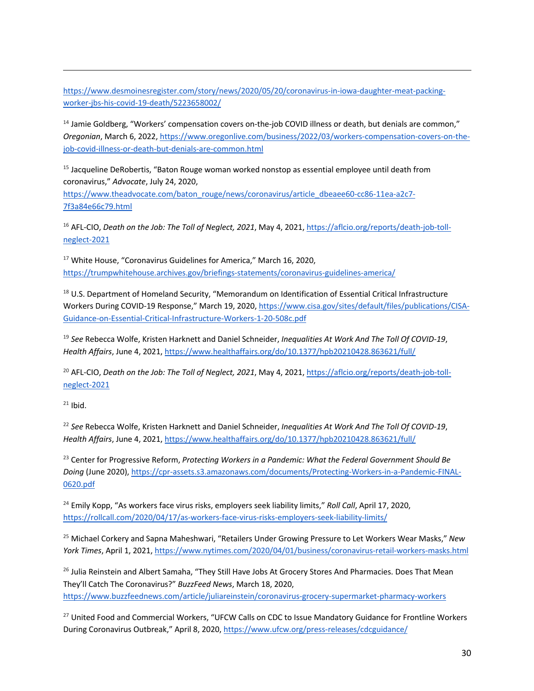https://www.desmoinesregister.com/story/news/2020/05/20/coronavirus-in-iowa-daughter-meat-packingworker-jbs-his-covid-19-death/5223658002/

<sup>14</sup> Jamie Goldberg, "Workers' compensation covers on-the-job COVID illness or death, but denials are common," *Oregonian*, March 6, 2022, https://www.oregonlive.com/business/2022/03/workers-compensation-covers-on-thejob-covid-illness-or-death-but-denials-are-common.html

<sup>15</sup> Jacqueline DeRobertis, "Baton Rouge woman worked nonstop as essential employee until death from coronavirus," *Advocate*, July 24, 2020,

https://www.theadvocate.com/baton\_rouge/news/coronavirus/article\_dbeaee60-cc86-11ea-a2c7-7f3a84e66c79.html

<sup>16</sup> AFL-CIO, *Death on the Job: The Toll of Neglect, 2021*, May 4, 2021, https://aflcio.org/reports/death-job-tollneglect-2021

 $17$  White House, "Coronavirus Guidelines for America," March 16, 2020, https://trumpwhitehouse.archives.gov/briefings-statements/coronavirus-guidelines-america/

<sup>18</sup> U.S. Department of Homeland Security, "Memorandum on Identification of Essential Critical Infrastructure Workers During COVID-19 Response," March 19, 2020, https://www.cisa.gov/sites/default/files/publications/CISA-Guidance-on-Essential-Critical-Infrastructure-Workers-1-20-508c.pdf

<sup>19</sup> *See* Rebecca Wolfe, Kristen Harknett and Daniel Schneider, *Inequalities At Work And The Toll Of COVID-19*, *Health Affairs*, June 4, 2021, https://www.healthaffairs.org/do/10.1377/hpb20210428.863621/full/

<sup>20</sup> AFL-CIO, *Death on the Job: The Toll of Neglect, 2021*, May 4, 2021, https://aflcio.org/reports/death-job-tollneglect-2021

 $21$  Ibid.

<sup>22</sup> *See* Rebecca Wolfe, Kristen Harknett and Daniel Schneider, *Inequalities At Work And The Toll Of COVID-19*, *Health Affairs*, June 4, 2021, https://www.healthaffairs.org/do/10.1377/hpb20210428.863621/full/

<sup>23</sup> Center for Progressive Reform, *Protecting Workers in a Pandemic: What the Federal Government Should Be Doing* (June 2020), https://cpr-assets.s3.amazonaws.com/documents/Protecting-Workers-in-a-Pandemic-FINAL-0620.pdf

<sup>24</sup> Emily Kopp, "As workers face virus risks, employers seek liability limits," *Roll Call*, April 17, 2020, https://rollcall.com/2020/04/17/as-workers-face-virus-risks-employers-seek-liability-limits/

<sup>25</sup> Michael Corkery and Sapna Maheshwari, "Retailers Under Growing Pressure to Let Workers Wear Masks," *New York Times*, April 1, 2021, https://www.nytimes.com/2020/04/01/business/coronavirus-retail-workers-masks.html

<sup>26</sup> Julia Reinstein and Albert Samaha, "They Still Have Jobs At Grocery Stores And Pharmacies. Does That Mean They'll Catch The Coronavirus?" *BuzzFeed News*, March 18, 2020, https://www.buzzfeednews.com/article/juliareinstein/coronavirus-grocery-supermarket-pharmacy-workers

<sup>27</sup> United Food and Commercial Workers, "UFCW Calls on CDC to Issue Mandatory Guidance for Frontline Workers During Coronavirus Outbreak," April 8, 2020, https://www.ufcw.org/press-releases/cdcguidance/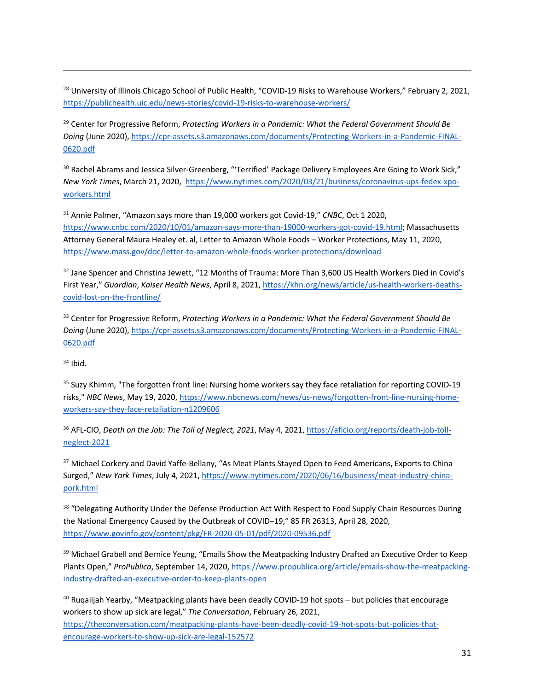<sup>28</sup> University of Illinois Chicago School of Public Health, "COVID-19 Risks to Warehouse Workers," February 2, 2021, https://publichealth.uic.edu/news-stories/covid-19-risks-to-warehouse-workers/

<sup>29</sup> Center for Progressive Reform, *Protecting Workers in a Pandemic: What the Federal Government Should Be Doing* (June 2020), https://cpr-assets.s3.amazonaws.com/documents/Protecting-Workers-in-a-Pandemic-FINAL-0620.pdf

<sup>30</sup> Rachel Abrams and Jessica Silver-Greenberg, "'Terrified' Package Delivery Employees Are Going to Work Sick," *New York Times*, March 21, 2020, https://www.nytimes.com/2020/03/21/business/coronavirus-ups-fedex-xpoworkers.html

<sup>31</sup> Annie Palmer, "Amazon says more than 19,000 workers got Covid-19," *CNBC*, Oct 1 2020, https://www.cnbc.com/2020/10/01/amazon-says-more-than-19000-workers-got-covid-19.html; Massachusetts Attorney General Maura Healey et. al, Letter to Amazon Whole Foods – Worker Protections, May 11, 2020, https://www.mass.gov/doc/letter-to-amazon-whole-foods-worker-protections/download

<sup>32</sup> Jane Spencer and Christina Jewett, "12 Months of Trauma: More Than 3,600 US Health Workers Died in Covid's First Year," *Guardian*, *Kaiser Health News*, April 8, 2021, https://khn.org/news/article/us-health-workers-deathscovid-lost-on-the-frontline/

<sup>33</sup> Center for Progressive Reform, *Protecting Workers in a Pandemic: What the Federal Government Should Be Doing* (June 2020), https://cpr-assets.s3.amazonaws.com/documents/Protecting-Workers-in-a-Pandemic-FINAL-0620.pdf

 $34$  Ibid.

<sup>35</sup> Suzy Khimm, "The forgotten front line: Nursing home workers say they face retaliation for reporting COVID-19 risks," *NBC News*, May 19, 2020, https://www.nbcnews.com/news/us-news/forgotten-front-line-nursing-homeworkers-say-they-face-retaliation-n1209606

<sup>36</sup> AFL-CIO, *Death on the Job: The Toll of Neglect, 2021*, May 4, 2021, https://aflcio.org/reports/death-job-tollneglect-2021

<sup>37</sup> Michael Corkery and David Yaffe-Bellany, "As Meat Plants Stayed Open to Feed Americans, Exports to China Surged," *New York Times*, July 4, 2021, https://www.nytimes.com/2020/06/16/business/meat-industry-chinapork.html

<sup>38</sup> "Delegating Authority Under the Defense Production Act With Respect to Food Supply Chain Resources During the National Emergency Caused by the Outbreak of COVID–19," 85 FR 26313, April 28, 2020, https://www.govinfo.gov/content/pkg/FR-2020-05-01/pdf/2020-09536.pdf

<sup>39</sup> Michael Grabell and Bernice Yeung, "Emails Show the Meatpacking Industry Drafted an Executive Order to Keep Plants Open," *ProPublica*, September 14, 2020, https://www.propublica.org/article/emails-show-the-meatpackingindustry-drafted-an-executive-order-to-keep-plants-open

 $40$  Ruqaiijah Yearby, "Meatpacking plants have been deadly COVID-19 hot spots – but policies that encourage workers to show up sick are legal," *The Conversation*, February 26, 2021, https://theconversation.com/meatpacking-plants-have-been-deadly-covid-19-hot-spots-but-policies-thatencourage-workers-to-show-up-sick-are-legal-152572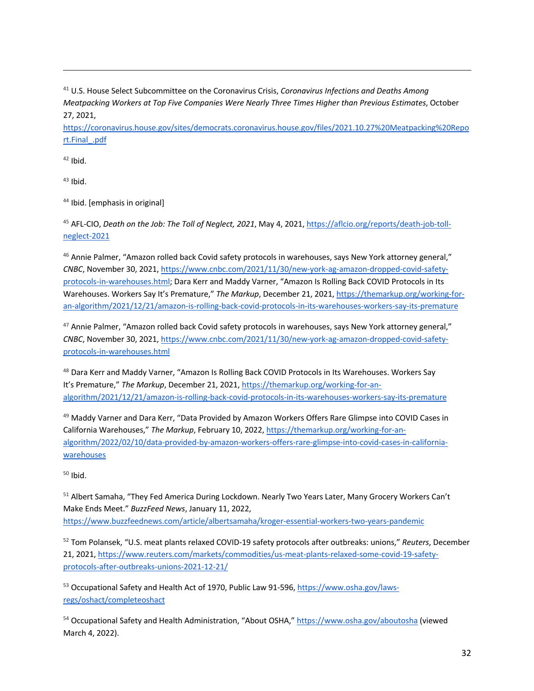<sup>41</sup> U.S. House Select Subcommittee on the Coronavirus Crisis, *Coronavirus Infections and Deaths Among Meatpacking Workers at Top Five Companies Were Nearly Three Times Higher than Previous Estimates*, October 27, 2021,

https://coronavirus.house.gov/sites/democrats.coronavirus.house.gov/files/2021.10.27%20Meatpacking%20Repo rt.Final\_.pdf

 $42$  Ibid.

 $43$  Ibid.

<sup>44</sup> Ibid. [emphasis in original]

<sup>45</sup> AFL-CIO, *Death on the Job: The Toll of Neglect, 2021*, May 4, 2021, https://aflcio.org/reports/death-job-tollneglect-2021

<sup>46</sup> Annie Palmer, "Amazon rolled back Covid safety protocols in warehouses, says New York attorney general," *CNBC*, November 30, 2021, https://www.cnbc.com/2021/11/30/new-york-ag-amazon-dropped-covid-safetyprotocols-in-warehouses.html; Dara Kerr and Maddy Varner, "Amazon Is Rolling Back COVID Protocols in Its Warehouses. Workers Say It's Premature," *The Markup*, December 21, 2021, https://themarkup.org/working-foran-algorithm/2021/12/21/amazon-is-rolling-back-covid-protocols-in-its-warehouses-workers-say-its-premature

<sup>47</sup> Annie Palmer, "Amazon rolled back Covid safety protocols in warehouses, says New York attorney general," *CNBC*, November 30, 2021, https://www.cnbc.com/2021/11/30/new-york-ag-amazon-dropped-covid-safetyprotocols-in-warehouses.html

48 Dara Kerr and Maddy Varner, "Amazon Is Rolling Back COVID Protocols in Its Warehouses. Workers Say It's Premature," *The Markup*, December 21, 2021, https://themarkup.org/working-for-analgorithm/2021/12/21/amazon-is-rolling-back-covid-protocols-in-its-warehouses-workers-say-its-premature

49 Maddy Varner and Dara Kerr, "Data Provided by Amazon Workers Offers Rare Glimpse into COVID Cases in California Warehouses," *The Markup*, February 10, 2022, https://themarkup.org/working-for-analgorithm/2022/02/10/data-provided-by-amazon-workers-offers-rare-glimpse-into-covid-cases-in-californiawarehouses

 $50$  Ibid.

<sup>51</sup> Albert Samaha, "They Fed America During Lockdown. Nearly Two Years Later, Many Grocery Workers Can't Make Ends Meet." *BuzzFeed News*, January 11, 2022, https://www.buzzfeednews.com/article/albertsamaha/kroger-essential-workers-two-years-pandemic

<sup>52</sup> Tom Polansek, "U.S. meat plants relaxed COVID-19 safety protocols after outbreaks: unions," *Reuters*, December 21, 2021, https://www.reuters.com/markets/commodities/us-meat-plants-relaxed-some-covid-19-safetyprotocols-after-outbreaks-unions-2021-12-21/

<sup>53</sup> Occupational Safety and Health Act of 1970, Public Law 91-596, https://www.osha.gov/lawsregs/oshact/completeoshact

<sup>54</sup> Occupational Safety and Health Administration, "About OSHA," https://www.osha.gov/aboutosha (viewed March 4, 2022).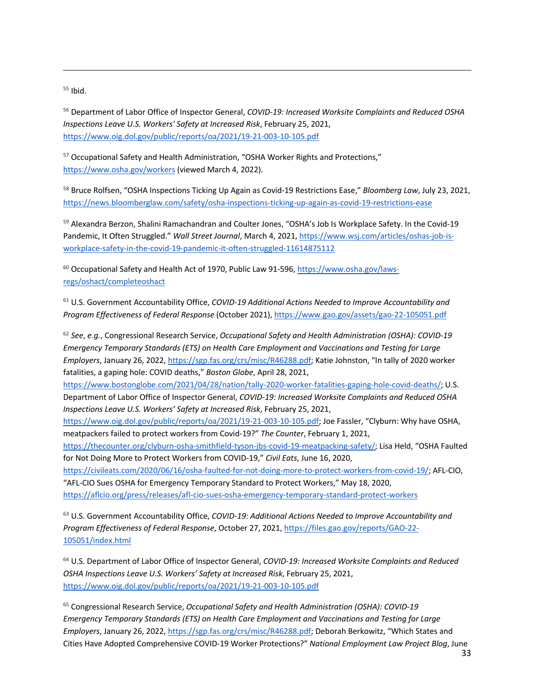$55$  Ibid.

<sup>56</sup> Department of Labor Office of Inspector General, *COVID-19: Increased Worksite Complaints and Reduced OSHA Inspections Leave U.S. Workers' Safety at Increased Risk*, February 25, 2021, https://www.oig.dol.gov/public/reports/oa/2021/19-21-003-10-105.pdf

<sup>57</sup> Occupational Safety and Health Administration, "OSHA Worker Rights and Protections," https://www.osha.gov/workers (viewed March 4, 2022).

<sup>58</sup> Bruce Rolfsen, "OSHA Inspections Ticking Up Again as Covid-19 Restrictions Ease," *Bloomberg Law*, July 23, 2021, https://news.bloomberglaw.com/safety/osha-inspections-ticking-up-again-as-covid-19-restrictions-ease

<sup>59</sup> Alexandra Berzon, Shalini Ramachandran and Coulter Jones, "OSHA's Job Is Workplace Safety. In the Covid-19 Pandemic, It Often Struggled." *Wall Street Journal*, March 4, 2021, https://www.wsj.com/articles/oshas-job-isworkplace-safety-in-the-covid-19-pandemic-it-often-struggled-11614875112

<sup>60</sup> Occupational Safety and Health Act of 1970, Public Law 91-596, https://www.osha.gov/lawsregs/oshact/completeoshact

<sup>61</sup> U.S. Government Accountability Office, *COVID-19 Additional Actions Needed to Improve Accountability and Program Effectiveness of Federal Response* (October 2021), https://www.gao.gov/assets/gao-22-105051.pdf

<sup>62</sup> *See*, *e.g.*, Congressional Research Service, *Occupational Safety and Health Administration (OSHA): COVID-19 Emergency Temporary Standards (ETS) on Health Care Employment and Vaccinations and Testing for Large Employers*, January 26, 2022, https://sgp.fas.org/crs/misc/R46288.pdf; Katie Johnston, "In tally of 2020 worker fatalities, a gaping hole: COVID deaths," *Boston Globe*, April 28, 2021,

https://www.bostonglobe.com/2021/04/28/nation/tally-2020-worker-fatalities-gaping-hole-covid-deaths/; U.S. Department of Labor Office of Inspector General, *COVID-19: Increased Worksite Complaints and Reduced OSHA Inspections Leave U.S. Workers' Safety at Increased Risk*, February 25, 2021,

https://www.oig.dol.gov/public/reports/oa/2021/19-21-003-10-105.pdf; Joe Fassler, "Clyburn: Why have OSHA, meatpackers failed to protect workers from Covid-19?" *The Counter*, February 1, 2021,

https://thecounter.org/clyburn-osha-smithfield-tyson-jbs-covid-19-meatpacking-safety/; Lisa Held, "OSHA Faulted for Not Doing More to Protect Workers from COVID-19," *Civil Eats*, June 16, 2020,

https://civileats.com/2020/06/16/osha-faulted-for-not-doing-more-to-protect-workers-from-covid-19/; AFL-CIO, "AFL-CIO Sues OSHA for Emergency Temporary Standard to Protect Workers," May 18, 2020, https://aflcio.org/press/releases/afl-cio-sues-osha-emergency-temporary-standard-protect-workers

<sup>63</sup> U.S. Government Accountability Office, *COVID-19: Additional Actions Needed to Improve Accountability and Program Effectiveness of Federal Response*, October 27, 2021, https://files.gao.gov/reports/GAO-22- 105051/index.html

<sup>64</sup> U.S. Department of Labor Office of Inspector General, *COVID-19: Increased Worksite Complaints and Reduced OSHA Inspections Leave U.S. Workers' Safety at Increased Risk*, February 25, 2021, https://www.oig.dol.gov/public/reports/oa/2021/19-21-003-10-105.pdf

<sup>65</sup> Congressional Research Service, *Occupational Safety and Health Administration (OSHA): COVID-19 Emergency Temporary Standards (ETS) on Health Care Employment and Vaccinations and Testing for Large Employers*, January 26, 2022, https://sgp.fas.org/crs/misc/R46288.pdf; Deborah Berkowitz, "Which States and Cities Have Adopted Comprehensive COVID-19 Worker Protections?" *National Employment Law Project Blog*, June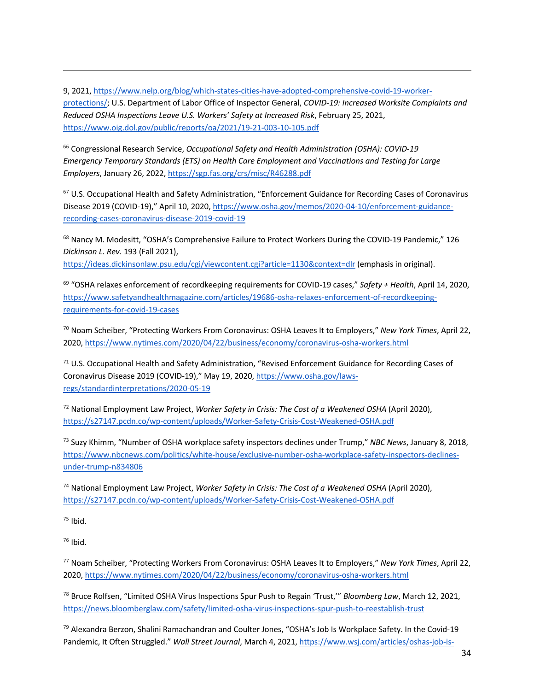9, 2021, https://www.nelp.org/blog/which-states-cities-have-adopted-comprehensive-covid-19-workerprotections/; U.S. Department of Labor Office of Inspector General, *COVID-19: Increased Worksite Complaints and Reduced OSHA Inspections Leave U.S. Workers' Safety at Increased Risk*, February 25, 2021, https://www.oig.dol.gov/public/reports/oa/2021/19-21-003-10-105.pdf

<sup>66</sup> Congressional Research Service, *Occupational Safety and Health Administration (OSHA): COVID-19 Emergency Temporary Standards (ETS) on Health Care Employment and Vaccinations and Testing for Large Employers*, January 26, 2022, https://sgp.fas.org/crs/misc/R46288.pdf

<sup>67</sup> U.S. Occupational Health and Safety Administration, "Enforcement Guidance for Recording Cases of Coronavirus Disease 2019 (COVID-19)," April 10, 2020, https://www.osha.gov/memos/2020-04-10/enforcement-guidancerecording-cases-coronavirus-disease-2019-covid-19

<sup>68</sup> Nancy M. Modesitt, "OSHA's Comprehensive Failure to Protect Workers During the COVID-19 Pandemic," 126 *Dickinson L. Rev.* 193 (Fall 2021), https://ideas.dickinsonlaw.psu.edu/cgi/viewcontent.cgi?article=1130&context=dlr (emphasis in original).

<sup>69</sup> "OSHA relaxes enforcement of recordkeeping requirements for COVID-19 cases," *Safety + Health*, April 14, 2020, https://www.safetyandhealthmagazine.com/articles/19686-osha-relaxes-enforcement-of-recordkeepingrequirements-for-covid-19-cases

<sup>70</sup> Noam Scheiber, "Protecting Workers From Coronavirus: OSHA Leaves It to Employers," *New York Times*, April 22, 2020, https://www.nytimes.com/2020/04/22/business/economy/coronavirus-osha-workers.html

<sup>71</sup> U.S. Occupational Health and Safety Administration, "Revised Enforcement Guidance for Recording Cases of Coronavirus Disease 2019 (COVID-19)," May 19, 2020, https://www.osha.gov/lawsregs/standardinterpretations/2020-05-19

<sup>72</sup> National Employment Law Project, *Worker Safety in Crisis: The Cost of a Weakened OSHA* (April 2020), https://s27147.pcdn.co/wp-content/uploads/Worker-Safety-Crisis-Cost-Weakened-OSHA.pdf

<sup>73</sup> Suzy Khimm, "Number of OSHA workplace safety inspectors declines under Trump," *NBC News*, January 8, 2018, https://www.nbcnews.com/politics/white-house/exclusive-number-osha-workplace-safety-inspectors-declinesunder-trump-n834806

<sup>74</sup> National Employment Law Project, *Worker Safety in Crisis: The Cost of a Weakened OSHA* (April 2020), https://s27147.pcdn.co/wp-content/uploads/Worker-Safety-Crisis-Cost-Weakened-OSHA.pdf

 $75$  Ibid.

 $76$  Ibid.

<sup>77</sup> Noam Scheiber, "Protecting Workers From Coronavirus: OSHA Leaves It to Employers," *New York Times*, April 22, 2020, https://www.nytimes.com/2020/04/22/business/economy/coronavirus-osha-workers.html

<sup>78</sup> Bruce Rolfsen, "Limited OSHA Virus Inspections Spur Push to Regain 'Trust,'" *Bloomberg Law*, March 12, 2021, https://news.bloomberglaw.com/safety/limited-osha-virus-inspections-spur-push-to-reestablish-trust

<sup>79</sup> Alexandra Berzon, Shalini Ramachandran and Coulter Jones, "OSHA's Job Is Workplace Safety. In the Covid-19 Pandemic, It Often Struggled." *Wall Street Journal*, March 4, 2021, https://www.wsj.com/articles/oshas-job-is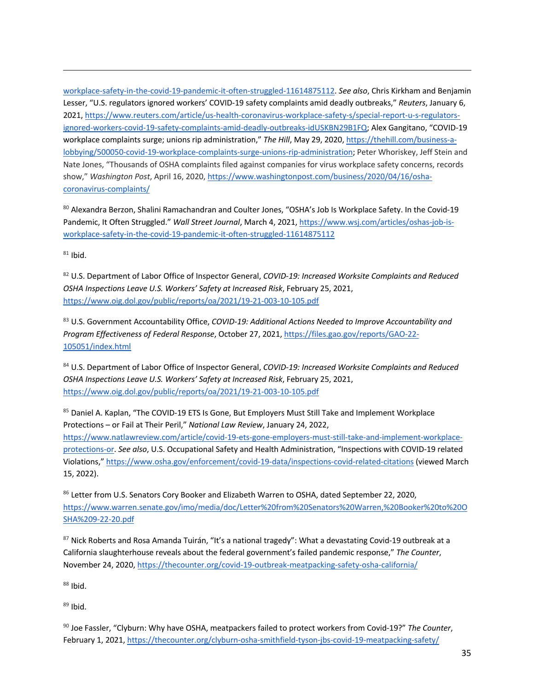workplace-safety-in-the-covid-19-pandemic-it-often-struggled-11614875112. *See also*, Chris Kirkham and Benjamin Lesser, "U.S. regulators ignored workers' COVID-19 safety complaints amid deadly outbreaks," *Reuters*, January 6, 2021, https://www.reuters.com/article/us-health-coronavirus-workplace-safety-s/special-report-u-s-regulatorsignored-workers-covid-19-safety-complaints-amid-deadly-outbreaks-idUSKBN29B1FQ; Alex Gangitano, "COVID-19 workplace complaints surge; unions rip administration," *The Hill*, May 29, 2020, https://thehill.com/business-alobbying/500050-covid-19-workplace-complaints-surge-unions-rip-administration; Peter Whoriskey, Jeff Stein and Nate Jones, "Thousands of OSHA complaints filed against companies for virus workplace safety concerns, records show," *Washington Post*, April 16, 2020, https://www.washingtonpost.com/business/2020/04/16/oshacoronavirus-complaints/

80 Alexandra Berzon, Shalini Ramachandran and Coulter Jones, "OSHA's Job Is Workplace Safety. In the Covid-19 Pandemic, It Often Struggled." *Wall Street Journal*, March 4, 2021, https://www.wsj.com/articles/oshas-job-isworkplace-safety-in-the-covid-19-pandemic-it-often-struggled-11614875112

 $81$  Ibid.

<sup>82</sup> U.S. Department of Labor Office of Inspector General, *COVID-19: Increased Worksite Complaints and Reduced OSHA Inspections Leave U.S. Workers' Safety at Increased Risk*, February 25, 2021, https://www.oig.dol.gov/public/reports/oa/2021/19-21-003-10-105.pdf

<sup>83</sup> U.S. Government Accountability Office, *COVID-19: Additional Actions Needed to Improve Accountability and Program Effectiveness of Federal Response*, October 27, 2021, https://files.gao.gov/reports/GAO-22- 105051/index.html

<sup>84</sup> U.S. Department of Labor Office of Inspector General, *COVID-19: Increased Worksite Complaints and Reduced OSHA Inspections Leave U.S. Workers' Safety at Increased Risk*, February 25, 2021, https://www.oig.dol.gov/public/reports/oa/2021/19-21-003-10-105.pdf

85 Daniel A. Kaplan, "The COVID-19 ETS Is Gone, But Employers Must Still Take and Implement Workplace Protections – or Fail at Their Peril," *National Law Review*, January 24, 2022, https://www.natlawreview.com/article/covid-19-ets-gone-employers-must-still-take-and-implement-workplaceprotections-or. *See also*, U.S. Occupational Safety and Health Administration, "Inspections with COVID-19 related Violations," https://www.osha.gov/enforcement/covid-19-data/inspections-covid-related-citations (viewed March 15, 2022).

86 Letter from U.S. Senators Cory Booker and Elizabeth Warren to OSHA, dated September 22, 2020, https://www.warren.senate.gov/imo/media/doc/Letter%20from%20Senators%20Warren,%20Booker%20to%20O SHA%209-22-20.pdf

87 Nick Roberts and Rosa Amanda Tuirán, "It's a national tragedy": What a devastating Covid-19 outbreak at a California slaughterhouse reveals about the federal government's failed pandemic response," *The Counter*, November 24, 2020, https://thecounter.org/covid-19-outbreak-meatpacking-safety-osha-california/

 $88$  Ibid.

 $89$  Ibid.

<sup>90</sup> Joe Fassler, "Clyburn: Why have OSHA, meatpackers failed to protect workers from Covid-19?" *The Counter*, February 1, 2021, https://thecounter.org/clyburn-osha-smithfield-tyson-jbs-covid-19-meatpacking-safety/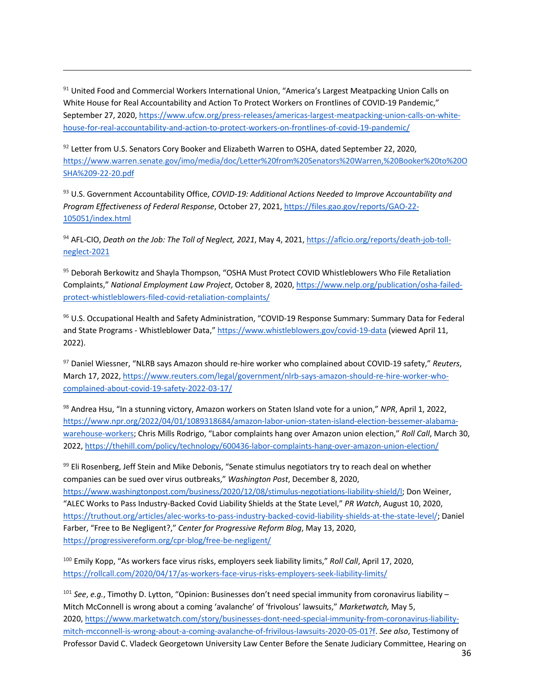91 United Food and Commercial Workers International Union, "America's Largest Meatpacking Union Calls on White House for Real Accountability and Action To Protect Workers on Frontlines of COVID-19 Pandemic," September 27, 2020, https://www.ufcw.org/press-releases/americas-largest-meatpacking-union-calls-on-whitehouse-for-real-accountability-and-action-to-protect-workers-on-frontlines-of-covid-19-pandemic/

<sup>92</sup> Letter from U.S. Senators Cory Booker and Elizabeth Warren to OSHA, dated September 22, 2020, https://www.warren.senate.gov/imo/media/doc/Letter%20from%20Senators%20Warren,%20Booker%20to%20O SHA%209-22-20.pdf

<sup>93</sup> U.S. Government Accountability Office, *COVID-19: Additional Actions Needed to Improve Accountability and Program Effectiveness of Federal Response*, October 27, 2021, https://files.gao.gov/reports/GAO-22- 105051/index.html

<sup>94</sup> AFL-CIO, *Death on the Job: The Toll of Neglect, 2021*, May 4, 2021, https://aflcio.org/reports/death-job-tollneglect-2021

95 Deborah Berkowitz and Shayla Thompson, "OSHA Must Protect COVID Whistleblowers Who File Retaliation Complaints," *National Employment Law Project*, October 8, 2020, https://www.nelp.org/publication/osha-failedprotect-whistleblowers-filed-covid-retaliation-complaints/

<sup>96</sup> U.S. Occupational Health and Safety Administration, "COVID-19 Response Summary: Summary Data for Federal and State Programs - Whistleblower Data," https://www.whistleblowers.gov/covid-19-data (viewed April 11, 2022).

<sup>97</sup> Daniel Wiessner, "NLRB says Amazon should re-hire worker who complained about COVID-19 safety," *Reuters*, March 17, 2022, https://www.reuters.com/legal/government/nlrb-says-amazon-should-re-hire-worker-whocomplained-about-covid-19-safety-2022-03-17/

<sup>98</sup> Andrea Hsu, "In a stunning victory, Amazon workers on Staten Island vote for a union," *NPR*, April 1, 2022, https://www.npr.org/2022/04/01/1089318684/amazon-labor-union-staten-island-election-bessemer-alabamawarehouse-workers; Chris Mills Rodrigo, "Labor complaints hang over Amazon union election," *Roll Call*, March 30, 2022, https://thehill.com/policy/technology/600436-labor-complaints-hang-over-amazon-union-election/

99 Eli Rosenberg, Jeff Stein and Mike Debonis, "Senate stimulus negotiators try to reach deal on whether companies can be sued over virus outbreaks," *Washington Post*, December 8, 2020, https://www.washingtonpost.com/business/2020/12/08/stimulus-negotiations-liability-shield/l; Don Weiner, "ALEC Works to Pass Industry-Backed Covid Liability Shields at the State Level," *PR Watch*, August 10, 2020, https://truthout.org/articles/alec-works-to-pass-industry-backed-covid-liability-shields-at-the-state-level/; Daniel Farber, "Free to Be Negligent?," *Center for Progressive Reform Blog*, May 13, 2020, https://progressivereform.org/cpr-blog/free-be-negligent/

<sup>100</sup> Emily Kopp, "As workers face virus risks, employers seek liability limits," *Roll Call*, April 17, 2020, https://rollcall.com/2020/04/17/as-workers-face-virus-risks-employers-seek-liability-limits/

<sup>101</sup> *See*, *e.g.*, Timothy D. Lytton, "Opinion: Businesses don't need special immunity from coronavirus liability – Mitch McConnell is wrong about a coming 'avalanche' of 'frivolous' lawsuits," *Marketwatch,* May 5, 2020, https://www.marketwatch.com/story/businesses-dont-need-special-immunity-from-coronavirus-liabilitymitch-mcconnell-is-wrong-about-a-coming-avalanche-of-frivilous-lawsuits-2020-05-01?f. *See also*, Testimony of Professor David C. Vladeck Georgetown University Law Center Before the Senate Judiciary Committee, Hearing on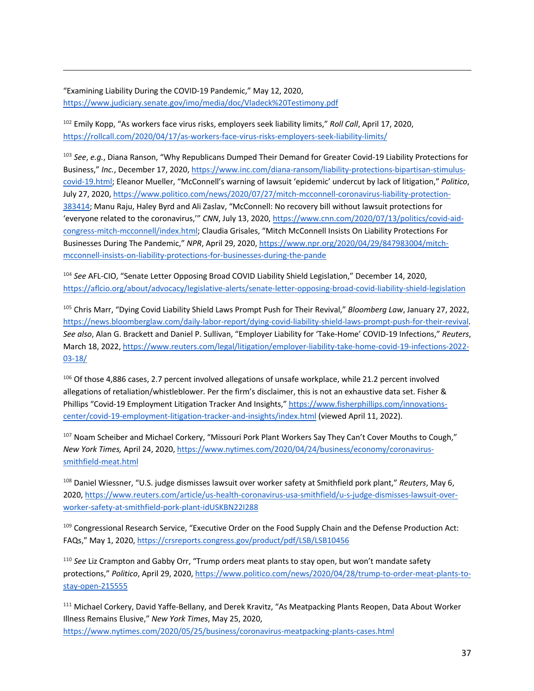"Examining Liability During the COVID-19 Pandemic," May 12, 2020, https://www.judiciary.senate.gov/imo/media/doc/Vladeck%20Testimony.pdf

<sup>102</sup> Emily Kopp, "As workers face virus risks, employers seek liability limits," *Roll Call*, April 17, 2020, https://rollcall.com/2020/04/17/as-workers-face-virus-risks-employers-seek-liability-limits/

<sup>103</sup> *See*, *e.g.*, Diana Ranson, "Why Republicans Dumped Their Demand for Greater Covid-19 Liability Protections for Business," *Inc.*, December 17, 2020, https://www.inc.com/diana-ransom/liability-protections-bipartisan-stimuluscovid-19.html; Eleanor Mueller, "McConnell's warning of lawsuit 'epidemic' undercut by lack of litigation," *Politico*, July 27, 2020, https://www.politico.com/news/2020/07/27/mitch-mcconnell-coronavirus-liability-protection-383414; Manu Raju, Haley Byrd and Ali Zaslav, "McConnell: No recovery bill without lawsuit protections for 'everyone related to the coronavirus,'" *CNN*, July 13, 2020, https://www.cnn.com/2020/07/13/politics/covid-aidcongress-mitch-mcconnell/index.html; Claudia Grisales, "Mitch McConnell Insists On Liability Protections For Businesses During The Pandemic," *NPR*, April 29, 2020, https://www.npr.org/2020/04/29/847983004/mitchmcconnell-insists-on-liability-protections-for-businesses-during-the-pande

<sup>104</sup> *See* AFL-CIO, "Senate Letter Opposing Broad COVID Liability Shield Legislation," December 14, 2020, https://aflcio.org/about/advocacy/legislative-alerts/senate-letter-opposing-broad-covid-liability-shield-legislation

<sup>105</sup> Chris Marr, "Dying Covid Liability Shield Laws Prompt Push for Their Revival," *Bloomberg Law*, January 27, 2022, https://news.bloomberglaw.com/daily-labor-report/dying-covid-liability-shield-laws-prompt-push-for-their-revival. *See also*, Alan G. Brackett and Daniel P. Sullivan, "Employer Liability for 'Take-Home' COVID-19 Infections," *Reuters*, March 18, 2022, https://www.reuters.com/legal/litigation/employer-liability-take-home-covid-19-infections-2022- 03-18/

<sup>106</sup> Of those 4,886 cases, 2.7 percent involved allegations of unsafe workplace, while 21.2 percent involved allegations of retaliation/whistleblower. Per the firm's disclaimer, this is not an exhaustive data set. Fisher & Phillips "Covid-19 Employment Litigation Tracker And Insights," https://www.fisherphillips.com/innovationscenter/covid-19-employment-litigation-tracker-and-insights/index.html (viewed April 11, 2022).

<sup>107</sup> Noam Scheiber and Michael Corkery, "Missouri Pork Plant Workers Say They Can't Cover Mouths to Cough," *New York Times,* April 24, 2020, https://www.nytimes.com/2020/04/24/business/economy/coronavirussmithfield-meat.html

<sup>108</sup> Daniel Wiessner, "U.S. judge dismisses lawsuit over worker safety at Smithfield pork plant," *Reuters*, May 6, 2020, https://www.reuters.com/article/us-health-coronavirus-usa-smithfield/u-s-judge-dismisses-lawsuit-overworker-safety-at-smithfield-pork-plant-idUSKBN22I288

109 Congressional Research Service, "Executive Order on the Food Supply Chain and the Defense Production Act: FAQs," May 1, 2020, https://crsreports.congress.gov/product/pdf/LSB/LSB10456

<sup>110</sup> *See* Liz Crampton and Gabby Orr, "Trump orders meat plants to stay open, but won't mandate safety protections," *Politico*, April 29, 2020, https://www.politico.com/news/2020/04/28/trump-to-order-meat-plants-tostay-open-215555

<sup>111</sup> Michael Corkery, David Yaffe-Bellany, and Derek Kravitz, "As Meatpacking Plants Reopen, Data About Worker Illness Remains Elusive," *New York Times*, May 25, 2020, https://www.nytimes.com/2020/05/25/business/coronavirus-meatpacking-plants-cases.html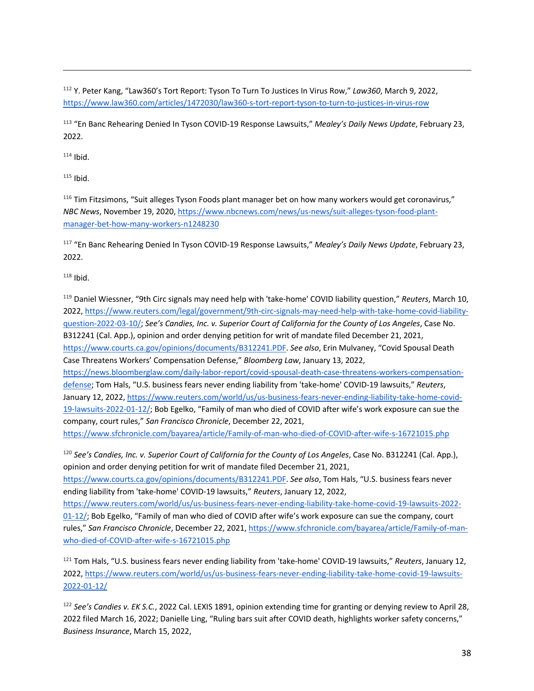<sup>112</sup> Y. Peter Kang, "Law360's Tort Report: Tyson To Turn To Justices In Virus Row," *Law360*, March 9, 2022, https://www.law360.com/articles/1472030/law360-s-tort-report-tyson-to-turn-to-justices-in-virus-row

<sup>113</sup> "En Banc Rehearing Denied In Tyson COVID-19 Response Lawsuits," *Mealey's Daily News Update*, February 23, 2022.

 $114$  Ibid.

 $115$  Ibid.

<sup>116</sup> Tim Fitzsimons, "Suit alleges Tyson Foods plant manager bet on how many workers would get coronavirus," *NBC News*, November 19, 2020, https://www.nbcnews.com/news/us-news/suit-alleges-tyson-food-plantmanager-bet-how-many-workers-n1248230

<sup>117</sup> "En Banc Rehearing Denied In Tyson COVID-19 Response Lawsuits," *Mealey's Daily News Update*, February 23, 2022.

 $118$  Ibid.

<sup>119</sup> Daniel Wiessner, "9th Circ signals may need help with 'take-home' COVID liability question," *Reuters*, March 10, 2022, https://www.reuters.com/legal/government/9th-circ-signals-may-need-help-with-take-home-covid-liabilityquestion-2022-03-10/; *See's Candies, Inc. v. Superior Court of California for the County of Los Angeles*, Case No. B312241 (Cal. App.), opinion and order denying petition for writ of mandate filed December 21, 2021, https://www.courts.ca.gov/opinions/documents/B312241.PDF. *See also*, Erin Mulvaney, "Covid Spousal Death Case Threatens Workers' Compensation Defense," *Bloomberg Law*, January 13, 2022, https://news.bloomberglaw.com/daily-labor-report/covid-spousal-death-case-threatens-workers-compensationdefense; Tom Hals, "U.S. business fears never ending liability from 'take-home' COVID-19 lawsuits," *Reuters*, January 12, 2022, https://www.reuters.com/world/us/us-business-fears-never-ending-liability-take-home-covid-19-lawsuits-2022-01-12/; Bob Egelko, "Family of man who died of COVID after wife's work exposure can sue the company, court rules," *San Francisco Chronicle*, December 22, 2021, https://www.sfchronicle.com/bayarea/article/Family-of-man-who-died-of-COVID-after-wife-s-16721015.php

<sup>120</sup> *See's Candies, Inc. v. Superior Court of California for the County of Los Angeles*, Case No. B312241 (Cal. App.), opinion and order denying petition for writ of mandate filed December 21, 2021,

https://www.courts.ca.gov/opinions/documents/B312241.PDF. *See also*, Tom Hals, "U.S. business fears never ending liability from 'take-home' COVID-19 lawsuits," *Reuters*, January 12, 2022,

https://www.reuters.com/world/us/us-business-fears-never-ending-liability-take-home-covid-19-lawsuits-2022- 01-12/; Bob Egelko, "Family of man who died of COVID after wife's work exposure can sue the company, court rules," *San Francisco Chronicle*, December 22, 2021, https://www.sfchronicle.com/bayarea/article/Family-of-manwho-died-of-COVID-after-wife-s-16721015.php

<sup>121</sup> Tom Hals, "U.S. business fears never ending liability from 'take-home' COVID-19 lawsuits," *Reuters*, January 12, 2022, https://www.reuters.com/world/us/us-business-fears-never-ending-liability-take-home-covid-19-lawsuits-2022-01-12/

<sup>122</sup> *See's Candies v. EK S.C.*, 2022 Cal. LEXIS 1891, opinion extending time for granting or denying review to April 28, 2022 filed March 16, 2022; Danielle Ling, "Ruling bars suit after COVID death, highlights worker safety concerns," *Business Insurance*, March 15, 2022,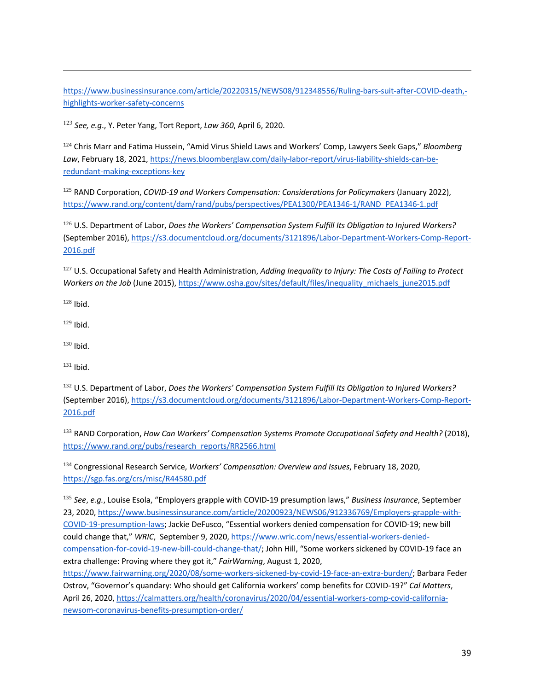https://www.businessinsurance.com/article/20220315/NEWS08/912348556/Ruling-bars-suit-after-COVID-death, highlights-worker-safety-concerns

<sup>123</sup> *See, e.g*., Y. Peter Yang, Tort Report, *Law 360*, April 6, 2020.

<sup>124</sup> Chris Marr and Fatima Hussein, "Amid Virus Shield Laws and Workers' Comp, Lawyers Seek Gaps," *Bloomberg Law*, February 18, 2021, https://news.bloomberglaw.com/daily-labor-report/virus-liability-shields-can-beredundant-making-exceptions-key

<sup>125</sup> RAND Corporation, *COVID-19 and Workers Compensation: Considerations for Policymakers* (January 2022), https://www.rand.org/content/dam/rand/pubs/perspectives/PEA1300/PEA1346-1/RAND\_PEA1346-1.pdf

<sup>126</sup> U.S. Department of Labor, *Does the Workers' Compensation System Fulfill Its Obligation to Injured Workers?* (September 2016), https://s3.documentcloud.org/documents/3121896/Labor-Department-Workers-Comp-Report-2016.pdf

<sup>127</sup> U.S. Occupational Safety and Health Administration, *Adding Inequality to Injury: The Costs of Failing to Protect*  Workers on the Job (June 2015), https://www.osha.gov/sites/default/files/inequality\_michaels\_june2015.pdf

 $128$  Ibid.

 $129$  Ibid.

 $130$  Ibid.

 $131$  Ibid.

<sup>132</sup> U.S. Department of Labor, *Does the Workers' Compensation System Fulfill Its Obligation to Injured Workers?* (September 2016), https://s3.documentcloud.org/documents/3121896/Labor-Department-Workers-Comp-Report-2016.pdf

<sup>133</sup> RAND Corporation, *How Can Workers' Compensation Systems Promote Occupational Safety and Health?* (2018), https://www.rand.org/pubs/research\_reports/RR2566.html

<sup>134</sup> Congressional Research Service, *Workers' Compensation: Overview and Issues*, February 18, 2020, https://sgp.fas.org/crs/misc/R44580.pdf

<sup>135</sup> *See*, *e.g.*, Louise Esola, "Employers grapple with COVID-19 presumption laws," *Business Insurance*, September 23, 2020, https://www.businessinsurance.com/article/20200923/NEWS06/912336769/Employers-grapple-with-COVID-19-presumption-laws; Jackie DeFusco, "Essential workers denied compensation for COVID-19; new bill could change that," *WRIC*, September 9, 2020, https://www.wric.com/news/essential-workers-deniedcompensation-for-covid-19-new-bill-could-change-that/; John Hill, "Some workers sickened by COVID-19 face an extra challenge: Proving where they got it," *FairWarning*, August 1, 2020, https://www.fairwarning.org/2020/08/some-workers-sickened-by-covid-19-face-an-extra-burden/; Barbara Feder

Ostrov, "Governor's quandary: Who should get California workers' comp benefits for COVID-19?" *Cal Matters*, April 26, 2020, https://calmatters.org/health/coronavirus/2020/04/essential-workers-comp-covid-californianewsom-coronavirus-benefits-presumption-order/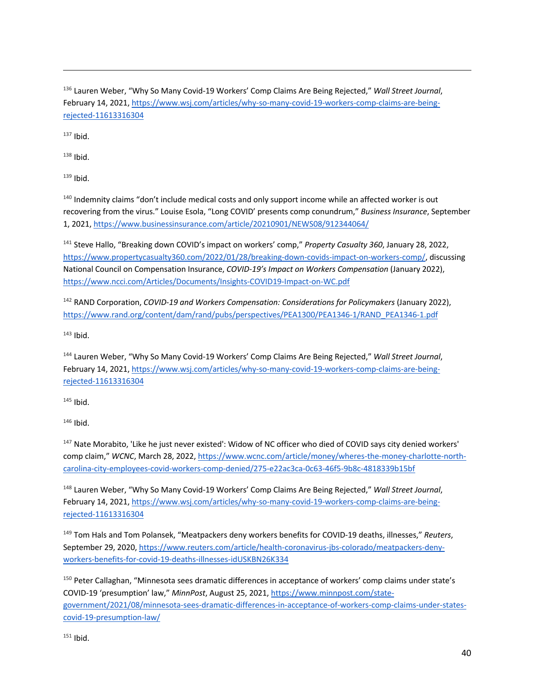<sup>136</sup> Lauren Weber, "Why So Many Covid-19 Workers' Comp Claims Are Being Rejected," *Wall Street Journal*, February 14, 2021, https://www.wsj.com/articles/why-so-many-covid-19-workers-comp-claims-are-beingrejected-11613316304

 $137$  Ibid.

 $138$  Ibid.

 $139$  Ibid.

<sup>140</sup> Indemnity claims "don't include medical costs and only support income while an affected worker is out recovering from the virus." Louise Esola, "Long COVID' presents comp conundrum," *Business Insurance*, September 1, 2021, https://www.businessinsurance.com/article/20210901/NEWS08/912344064/

<sup>141</sup> Steve Hallo, "Breaking down COVID's impact on workers' comp," *Property Casualty 360*, January 28, 2022, https://www.propertycasualty360.com/2022/01/28/breaking-down-covids-impact-on-workers-comp/, discussing National Council on Compensation Insurance, *COVID-19's Impact on Workers Compensation* (January 2022), https://www.ncci.com/Articles/Documents/Insights-COVID19-Impact-on-WC.pdf

<sup>142</sup> RAND Corporation, *COVID-19 and Workers Compensation: Considerations for Policymakers* (January 2022), https://www.rand.org/content/dam/rand/pubs/perspectives/PEA1300/PEA1346-1/RAND\_PEA1346-1.pdf

 $143$  Ibid.

<sup>144</sup> Lauren Weber, "Why So Many Covid-19 Workers' Comp Claims Are Being Rejected," *Wall Street Journal*, February 14, 2021, https://www.wsj.com/articles/why-so-many-covid-19-workers-comp-claims-are-beingrejected-11613316304

 $145$  Ibid.

 $146$  Ibid.

<sup>147</sup> Nate Morabito, 'Like he just never existed': Widow of NC officer who died of COVID says city denied workers' comp claim," WCNC, March 28, 2022, https://www.wcnc.com/article/money/wheres-the-money-charlotte-northcarolina-city-employees-covid-workers-comp-denied/275-e22ac3ca-0c63-46f5-9b8c-4818339b15bf

<sup>148</sup> Lauren Weber, "Why So Many Covid-19 Workers' Comp Claims Are Being Rejected," *Wall Street Journal*, February 14, 2021, https://www.wsj.com/articles/why-so-many-covid-19-workers-comp-claims-are-beingrejected-11613316304

<sup>149</sup> Tom Hals and Tom Polansek, "Meatpackers deny workers benefits for COVID-19 deaths, illnesses," *Reuters*, September 29, 2020, https://www.reuters.com/article/health-coronavirus-jbs-colorado/meatpackers-denyworkers-benefits-for-covid-19-deaths-illnesses-idUSKBN26K334

<sup>150</sup> Peter Callaghan, "Minnesota sees dramatic differences in acceptance of workers' comp claims under state's COVID-19 'presumption' law," *MinnPost*, August 25, 2021, https://www.minnpost.com/stategovernment/2021/08/minnesota-sees-dramatic-differences-in-acceptance-of-workers-comp-claims-under-statescovid-19-presumption-law/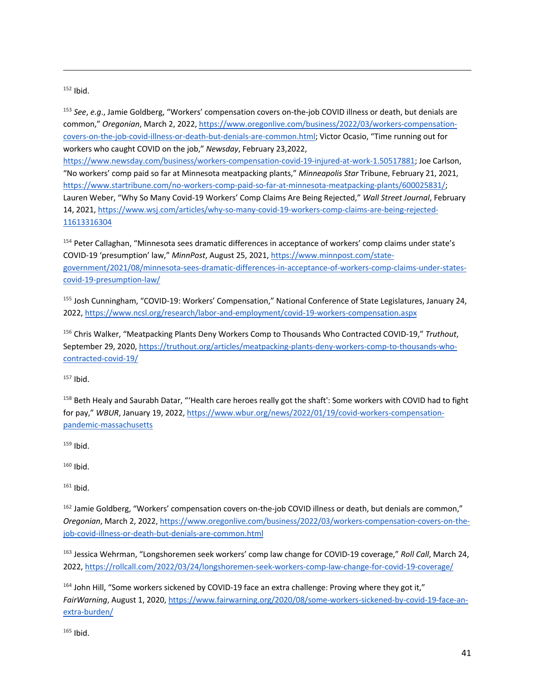#### $152$  Ibid.

<sup>153</sup> *See*, *e.g*., Jamie Goldberg, "Workers' compensation covers on-the-job COVID illness or death, but denials are common," *Oregonian*, March 2, 2022, https://www.oregonlive.com/business/2022/03/workers-compensationcovers-on-the-job-covid-illness-or-death-but-denials-are-common.html; Victor Ocasio, "Time running out for workers who caught COVID on the job," *Newsday*, February 23,2022,

https://www.newsday.com/business/workers-compensation-covid-19-injured-at-work-1.50517881; Joe Carlson, "No workers' comp paid so far at Minnesota meatpacking plants," *Minneapolis Star* Tribune, February 21, 2021, https://www.startribune.com/no-workers-comp-paid-so-far-at-minnesota-meatpacking-plants/600025831/; Lauren Weber, "Why So Many Covid-19 Workers' Comp Claims Are Being Rejected," *Wall Street Journal*, February 14, 2021, https://www.wsj.com/articles/why-so-many-covid-19-workers-comp-claims-are-being-rejected-11613316304

<sup>154</sup> Peter Callaghan, "Minnesota sees dramatic differences in acceptance of workers' comp claims under state's COVID-19 'presumption' law," *MinnPost*, August 25, 2021, https://www.minnpost.com/stategovernment/2021/08/minnesota-sees-dramatic-differences-in-acceptance-of-workers-comp-claims-under-statescovid-19-presumption-law/

<sup>155</sup> Josh Cunningham, "COVID-19: Workers' Compensation," National Conference of State Legislatures, January 24, 2022, https://www.ncsl.org/research/labor-and-employment/covid-19-workers-compensation.aspx

<sup>156</sup> Chris Walker, "Meatpacking Plants Deny Workers Comp to Thousands Who Contracted COVID-19," *Truthout*, September 29, 2020, https://truthout.org/articles/meatpacking-plants-deny-workers-comp-to-thousands-whocontracted-covid-19/

 $157$  Ibid.

<sup>158</sup> Beth Healy and Saurabh Datar, "'Health care heroes really got the shaft': Some workers with COVID had to fight for pay," *WBUR*, January 19, 2022, https://www.wbur.org/news/2022/01/19/covid-workers-compensationpandemic-massachusetts

 $159$  Ibid.

 $160$  Ibid.

 $161$  Ibid.

162 Jamie Goldberg, "Workers' compensation covers on-the-job COVID illness or death, but denials are common," *Oregonian*, March 2, 2022, https://www.oregonlive.com/business/2022/03/workers-compensation-covers-on-thejob-covid-illness-or-death-but-denials-are-common.html

<sup>163</sup> Jessica Wehrman, "Longshoremen seek workers' comp law change for COVID-19 coverage," *Roll Call*, March 24, 2022, https://rollcall.com/2022/03/24/longshoremen-seek-workers-comp-law-change-for-covid-19-coverage/

<sup>164</sup> John Hill, "Some workers sickened by COVID-19 face an extra challenge: Proving where they got it," *FairWarning*, August 1, 2020, https://www.fairwarning.org/2020/08/some-workers-sickened-by-covid-19-face-anextra-burden/

 $165$  Ibid.